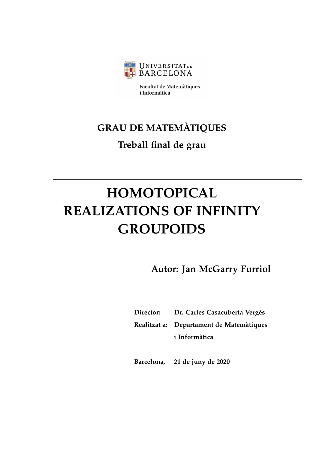

**Facultat de Matemàtiques** i Informàtica

# **GRAU DE MATEMÀTIQUES**

## **Treball final de grau**

# **HOMOTOPICAL REALIZATIONS OF INFINITY GROUPOIDS**

**Autor: Jan McGarry Furriol**

| Director: Dr. Carles Casacuberta Vergés  |
|------------------------------------------|
| Realitzat a: Departament de Matemàtiques |
| i Informàtica                            |

**Barcelona, 21 de juny de 2020**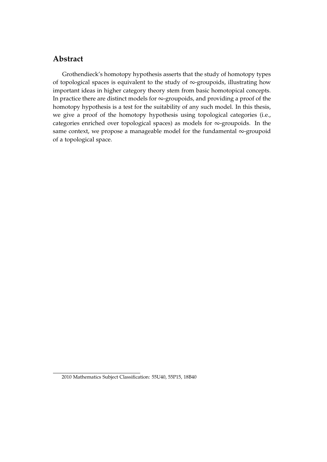### **Abstract**

Grothendieck's homotopy hypothesis asserts that the study of homotopy types of topological spaces is equivalent to the study of ∞-groupoids, illustrating how important ideas in higher category theory stem from basic homotopical concepts. In practice there are distinct models for ∞-groupoids, and providing a proof of the homotopy hypothesis is a test for the suitability of any such model. In this thesis, we give a proof of the homotopy hypothesis using topological categories (i.e., categories enriched over topological spaces) as models for ∞-groupoids. In the same context, we propose a manageable model for the fundamental ∞-groupoid of a topological space.

<sup>2010</sup> Mathematics Subject Classification: 55U40, 55P15, 18B40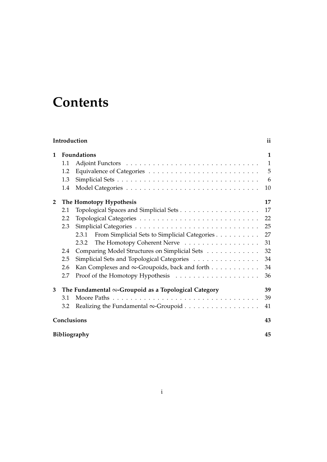# **Contents**

|              | Introduction                                                       |                                                        |              |  |
|--------------|--------------------------------------------------------------------|--------------------------------------------------------|--------------|--|
| 1            | <b>Foundations</b><br>$\mathbf{1}$                                 |                                                        |              |  |
|              | 1.1                                                                |                                                        | $\mathbf{1}$ |  |
|              | 1.2                                                                |                                                        | 5            |  |
|              | 1.3                                                                |                                                        | 6            |  |
|              | 1.4                                                                |                                                        | 10           |  |
| $\mathbf{2}$ |                                                                    | The Homotopy Hypothesis                                |              |  |
|              | 2.1                                                                |                                                        | 17           |  |
|              | 2.2                                                                |                                                        | 22           |  |
|              | 2.3                                                                |                                                        | 25           |  |
|              |                                                                    | From Simplicial Sets to Simplicial Categories<br>2.3.1 | 27           |  |
|              |                                                                    | The Homotopy Coherent Nerve<br>2.3.2                   | 31           |  |
|              | 2.4                                                                | Comparing Model Structures on Simplicial Sets          | 32           |  |
|              | 2.5                                                                | Simplicial Sets and Topological Categories             | 34           |  |
|              | 2.6                                                                | Kan Complexes and $\infty$ -Groupoids, back and forth  | 34           |  |
|              | 2.7                                                                |                                                        | 36           |  |
| 3            | The Fundamental $\infty$ -Groupoid as a Topological Category<br>39 |                                                        |              |  |
|              | 3.1                                                                |                                                        | 39           |  |
|              | 3.2                                                                |                                                        | 41           |  |
|              | Conclusions                                                        |                                                        |              |  |
|              | Bibliography<br>45                                                 |                                                        |              |  |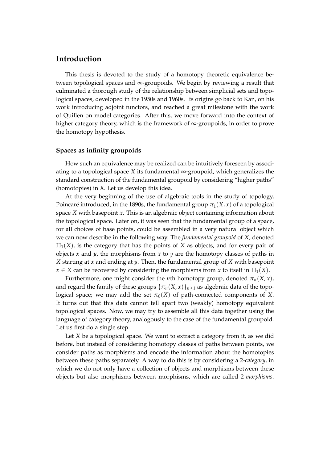### **Introduction**

This thesis is devoted to the study of a homotopy theoretic equivalence between topological spaces and ∞-groupoids. We begin by reviewing a result that culminated a thorough study of the relationship between simplicial sets and topological spaces, developed in the 1950s and 1960s. Its origins go back to Kan, on his work introducing adjoint functors, and reached a great milestone with the work of Quillen on model categories. After this, we move forward into the context of higher category theory, which is the framework of ∞-groupoids, in order to prove the homotopy hypothesis.

#### **Spaces as infinity groupoids**

How such an equivalence may be realized can be intuitively foreseen by associating to a topological space *X* its fundamental  $\infty$ -groupoid, which generalizes the standard construction of the fundamental groupoid by considering "higher paths" (homotopies) in X. Let us develop this idea.

At the very beginning of the use of algebraic tools in the study of topology, Poincaré introduced, in the 1890s, the fundamental group  $\pi_1(X, x)$  of a topological space *X* with basepoint *x*. This is an algebraic object containing information about the topological space. Later on, it was seen that the fundamental group of a space, for all choices of base points, could be assembled in a very natural object which we can now describe in the following way. The *fundamental groupoid* of *X*, denoted  $\Pi_1(X)$ , is the category that has the points of *X* as objects, and for every pair of objects *x* and *y*, the morphisms from *x* to *y* are the homotopy classes of paths in *X* starting at *x* and ending at *y*. Then, the fundamental group of *X* with basepoint  $x \in X$  can be recovered by considering the morphisms from *x* to itself in  $\Pi_1(X)$ .

Furthermore, one might consider the *n*th homotopy group, denoted  $\pi_n(X, x)$ , and regard the family of these groups  $\{\pi_n(X, x)\}_{n \geq 1}$  as algebraic data of the topological space; we may add the set  $\pi_0(X)$  of path-connected components of *X*. It turns out that this data cannot tell apart two (weakly) homotopy equivalent topological spaces. Now, we may try to assemble all this data together using the language of category theory, analogously to the case of the fundamental groupoid. Let us first do a single step.

Let *X* be a topological space. We want to extract a category from it, as we did before, but instead of considering homotopy classes of paths between points, we consider paths as morphisms and encode the information about the homotopies between these paths separately. A way to do this is by considering a 2*-category*, in which we do not only have a collection of objects and morphisms between these objects but also morphisms between morphisms, which are called 2*-morphisms*.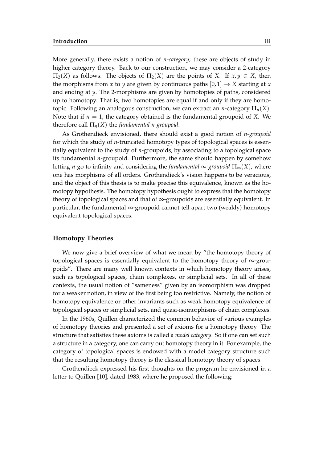More generally, there exists a notion of *n-category*; these are objects of study in higher category theory. Back to our construction, we may consider a 2-category  $\Pi_2(X)$  as follows. The objects of  $\Pi_2(X)$  are the points of *X*. If *x*, *y*  $\in$  *X*, then the morphisms from *x* to *y* are given by continuous paths  $[0, 1] \rightarrow X$  starting at *x* and ending at *y*. The 2-morphisms are given by homotopies of paths, considered up to homotopy. That is, two homotopies are equal if and only if they are homotopic. Following an analogous construction, we can extract an *n*-category Π*n*(*X*). Note that if  $n = 1$ , the category obtained is the fundamental groupoid of *X*. We therefore call Π*n*(*X*) the *fundamental n-groupoid*.

As Grothendieck envisioned, there should exist a good notion of *n-groupoid* for which the study of *n*-truncated homotopy types of topological spaces is essentially equivalent to the study of *n*-groupoids, by associating to a topological space its fundamental *n*-groupoid. Furthermore, the same should happen by somehow letting *n* go to infinity and considering the *fundamental*  $\infty$ -*groupoid*  $\Pi_{\infty}(X)$ , where one has morphisms of all orders. Grothendieck's vision happens to be veracious, and the object of this thesis is to make precise this equivalence, known as the homotopy hypothesis. The homotopy hypothesis ought to express that the homotopy theory of topological spaces and that of  $\infty$ -groupoids are essentially equivalent. In particular, the fundamental  $\infty$ -groupoid cannot tell apart two (weakly) homotopy equivalent topological spaces.

#### **Homotopy Theories**

We now give a brief overview of what we mean by "the homotopy theory of topological spaces is essentially equivalent to the homotopy theory of ∞-groupoids". There are many well known contexts in which homotopy theory arises, such as topological spaces, chain complexes, or simplicial sets. In all of these contexts, the usual notion of "sameness" given by an isomorphism was dropped for a weaker notion, in view of the first being too restrictive. Namely, the notion of homotopy equivalence or other invariants such as weak homotopy equivalence of topological spaces or simplicial sets, and quasi-isomorphisms of chain complexes.

In the 1960s, Quillen characterized the common behavior of various examples of homotopy theories and presented a set of axioms for a homotopy theory. The structure that satisfies these axioms is called a *model category*. So if one can set such a structure in a category, one can carry out homotopy theory in it. For example, the category of topological spaces is endowed with a model category structure such that the resulting homotopy theory is the classical homotopy theory of spaces.

Grothendieck expressed his first thoughts on the program he envisioned in a letter to Quillen [10], dated 1983, where he proposed the following: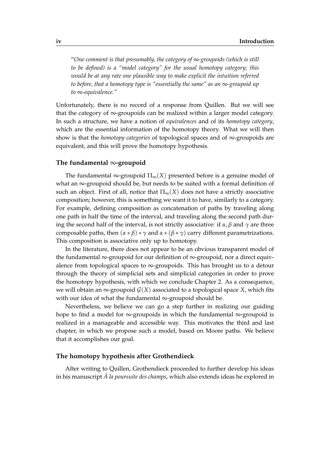"*One comment is that presumably, the category of* ∞*-groupoids (which is still to be defined) is a "model category" for the usual homotopy category; this would be at any rate one plausible way to make explicit the intuition referred to before, that a homotopy type is "essentially the same" as an* ∞*-groupoid up to* ∞*-equivalence."*

Unfortunately, there is no record of a response from Quillen. But we will see that the category of ∞-groupoids can be realized within a larger model category. In such a structure, we have a notion of *equivalences* and of its *homotopy category*, which are the essential information of the homotopy theory. What we will then show is that the *homotopy categories* of topological spaces and of ∞-groupoids are equivalent, and this will prove the homotopy hypothesis.

#### **The fundamental** ∞**-groupoid**

The fundamental  $\infty$ -groupoid  $\Pi_{\infty}(X)$  presented before is a genuine model of what an ∞-groupoid should be, but needs to be suited with a formal definition of such an object. First of all, notice that  $\Pi_{\infty}(X)$  does not have a strictly associative composition; however, this is something we want it to have, similarly to a category. For example, defining composition as concatenation of paths by traveling along one path in half the time of the interval, and traveling along the second path during the second half of the interval, is not strictly associative: if  $\alpha$ ,  $\beta$  and  $\gamma$  are three composable paths, then  $(\alpha * \beta) * \gamma$  and  $\alpha * (\beta * \gamma)$  carry different parametrizations. This composition is associative only up to homotopy.

In the literature, there does not appear to be an obvious transparent model of the fundamental ∞-groupoid for our definition of ∞-groupoid, nor a direct equivalence from topological spaces to  $\infty$ -groupoids. This has brought us to a detour through the theory of simplicial sets and simplicial categories in order to prove the homotopy hypothesis, with which we conclude Chapter 2. As a consequence, we will obtain an  $\infty$ -groupoid  $\mathcal{G}(X)$  associated to a topological space *X*, which fits with our idea of what the fundamental ∞-groupoid should be.

Nevertheless, we believe we can go a step further in realizing our guiding hope to find a model for ∞-groupoids in which the fundamental ∞-groupoid is realized in a manageable and accessible way. This motivates the third and last chapter, in which we propose such a model, based on Moore paths. We believe that it accomplishes our goal.

#### **The homotopy hypothesis after Grothendieck**

After writing to Quillen, Grothendieck proceeded to further develop his ideas in his manuscript *À la poursuite des champs*, which also extends ideas he explored in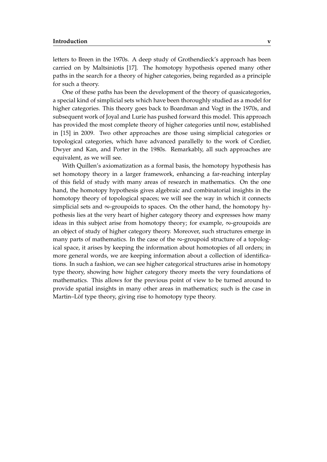letters to Breen in the 1970s. A deep study of Grothendieck's approach has been carried on by Maltsiniotis [17]. The homotopy hypothesis opened many other paths in the search for a theory of higher categories, being regarded as a principle for such a theory.

One of these paths has been the development of the theory of quasicategories, a special kind of simplicial sets which have been thoroughly studied as a model for higher categories. This theory goes back to Boardman and Vogt in the 1970s, and subsequent work of Joyal and Lurie has pushed forward this model. This approach has provided the most complete theory of higher categories until now, established in [15] in 2009. Two other approaches are those using simplicial categories or topological categories, which have advanced parallelly to the work of Cordier, Dwyer and Kan, and Porter in the 1980s. Remarkably, all such approaches are equivalent, as we will see.

With Quillen's axiomatization as a formal basis, the homotopy hypothesis has set homotopy theory in a larger framework, enhancing a far-reaching interplay of this field of study with many areas of research in mathematics. On the one hand, the homotopy hypothesis gives algebraic and combinatorial insights in the homotopy theory of topological spaces; we will see the way in which it connects simplicial sets and ∞-groupoids to spaces. On the other hand, the homotopy hypothesis lies at the very heart of higher category theory and expresses how many ideas in this subject arise from homotopy theory; for example, ∞-groupoids are an object of study of higher category theory. Moreover, such structures emerge in many parts of mathematics. In the case of the  $\infty$ -groupoid structure of a topological space, it arises by keeping the information about homotopies of all orders; in more general words, we are keeping information about a collection of identifications. In such a fashion, we can see higher categorical structures arise in homotopy type theory, showing how higher category theory meets the very foundations of mathematics. This allows for the previous point of view to be turned around to provide spatial insights in many other areas in mathematics; such is the case in Martin–Löf type theory, giving rise to homotopy type theory.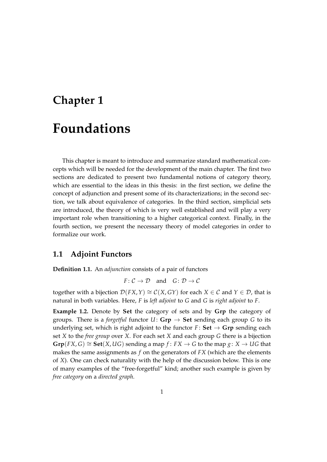# **Chapter 1**

# **Foundations**

This chapter is meant to introduce and summarize standard mathematical concepts which will be needed for the development of the main chapter. The first two sections are dedicated to present two fundamental notions of category theory, which are essential to the ideas in this thesis: in the first section, we define the concept of adjunction and present some of its characterizations; in the second section, we talk about equivalence of categories. In the third section, simplicial sets are introduced, the theory of which is very well established and will play a very important role when transitioning to a higher categorical context. Finally, in the fourth section, we present the necessary theory of model categories in order to formalize our work.

#### **1.1 Adjoint Functors**

**Definition 1.1.** An *adjunction* consists of a pair of functors

$$
F\colon \mathcal{C}\to \mathcal{D} \quad \text{and} \quad G\colon \mathcal{D}\to \mathcal{C}
$$

together with a bijection  $\mathcal{D}(FX, Y) \cong \mathcal{C}(X, GY)$  for each  $X \in \mathcal{C}$  and  $Y \in \mathcal{D}$ , that is natural in both variables. Here, *F* is *left adjoint* to *G* and *G* is *right adjoint* to *F*.

**Example 1.2.** Denote by **Set** the category of sets and by **Grp** the category of groups. There is a *forgetful* functor  $U: \mathbf{Grp} \to \mathbf{Set}$  sending each group *G* to its underlying set, which is right adjoint to the functor  $F:$  **Set**  $\rightarrow$  **Grp** sending each set *X* to the *free group* over *X*. For each set *X* and each group *G* there is a bijection  $Grp(FX, G) \cong Set(X, UG)$  sending a map  $f: FX \to G$  to the map  $g: X \to UG$  that makes the same assignments as *f* on the generators of *FX* (which are the elements of *X*). One can check naturality with the help of the discussion below. This is one of many examples of the "free-forgetful" kind; another such example is given by *free category* on a *directed graph*.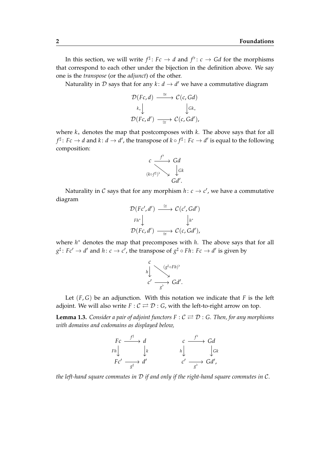In this section, we will write  $f^{\sharp} \colon Fc \to d$  and  $f^{\flat} \colon c \to Gd$  for the morphisms that correspond to each other under the bijection in the definition above. We say one is the *transpose* (or the *adjunct*) of the other.

Naturality in  $D$  says that for any  $k: d \rightarrow d'$  we have a commutative diagram

$$
\mathcal{D}(Fc,d) \xrightarrow{\cong} \mathcal{C}(c,Gd)
$$
  
\n
$$
k_* \downarrow \qquad \qquad \downarrow Gk_*
$$
  
\n
$$
\mathcal{D}(Fc,d') \xrightarrow{\cong} \mathcal{C}(c,Gd'),
$$

where *k*∗ denotes the map that postcomposes with *k*. The above says that for all  $f^{\sharp} \colon Fc \to d$  and  $k \colon d \to d'$ , the transpose of  $k \circ f^{\sharp} \colon Fc \to d'$  is equal to the following composition:

$$
c \xrightarrow{f^{\flat}} Gd
$$
  
\n
$$
(k \circ f^{\sharp})^{\flat} \rightarrow d \mathcal{G}d'.
$$
  
\n
$$
Gd'.
$$

Naturality in  $\mathcal C$  says that for any morphism  $h\colon \mathcal C\to \mathcal C'$ , we have a commutative diagram

$$
\mathcal{D}(Fc',d') \xrightarrow{\cong} \mathcal{C}(c',Gd')
$$
\n
$$
Fh^*\downarrow \qquad \qquad \downarrow h^*
$$
\n
$$
\mathcal{D}(Fc,d') \xrightarrow{\cong} \mathcal{C}(c,Gd'),
$$

where *h*<sup>∗</sup> denotes the map that precomposes with *h*. The above says that for all  $g^{\sharp} \colon Fc' \to d'$  and  $h \colon c \to c'$ , the transpose of  $g^{\sharp} \circ Fh \colon Fc \to d'$  is given by

$$
\begin{array}{ccc}\n & & & (g^{\sharp} \circ Fh)^{\flat} \\
 h & & \searrow & \\
c' & \xrightarrow{g^{\flat}} & Gd'.\n\end{array}
$$

Let  $(F, G)$  be an adjunction. With this notation we indicate that  $F$  is the left adjoint. We will also write  $F : C \rightleftarrows \mathcal{D} : G$ , with the left-to-right arrow on top.

**Lemma 1.3.** *Consider a pair of adjoint functors*  $F : C \rightleftarrows D : G$ *. Then, for any morphisms with domains and codomains as displayed below,*

$$
\begin{array}{ccc}\nFc & \xrightarrow{f^{\sharp}} & d & & c & \xrightarrow{f^{\flat}} & Gd \\
Fh & & k & & h & \downarrow & \downarrow \\
Fc' & \xrightarrow{g^{\sharp}} & d' & & c' & \xrightarrow{g^{\flat}} & Gd',\n\end{array}
$$

*the left-hand square commutes in* D *if and only if the right-hand square commutes in* C*.*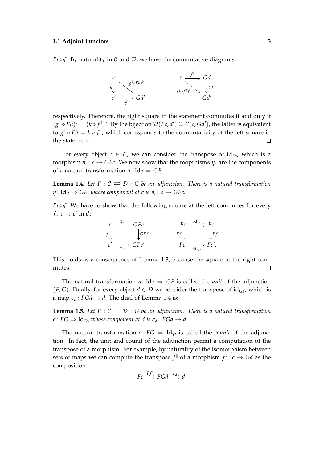*Proof.* By naturality in  $\mathcal C$  and  $\mathcal D$ , we have the commutative diagrams



respectively. Therefore, the right square in the statement commutes if and only if  $(g^{\sharp} \circ Fh)^{\flat} = (k \circ f^{\sharp})^{\flat}$ . By the bijection  $\mathcal{D}(Fc, d') \cong \mathcal{C}(c, Gd')$ , the latter is equivalent to  $g^{\sharp} \circ Fh = k \circ f^{\sharp}$ , which corresponds to the commutativity of the left square in the statement.  $\Box$ 

For every object  $c \in \mathcal{C}$ , we can consider the transpose of  $id_{Fc}$ , which is a morphism  $\eta_c: c \to GFc$ . We now show that the moprhisms  $\eta_c$  are the components of a natural transformation  $\eta$ : Id<sub>C</sub>  $\Rightarrow$  GF.

**Lemma 1.4.** Let  $F: C \rightleftarrows D: G$  be an adjunction. There is a natural transformation  $\eta: \text{Id}_{\mathcal{C}} \Rightarrow \text{GF}$ , whose component at c is  $\eta_c: c \to \text{GF}c$ .

*Proof.* We have to show that the following square at the left commutes for every  $f: c \to c'$  in  $\mathcal{C}$ :



This holds as a consequence of Lemma 1.3, because the square at the right commutes.  $\Box$ 

The natural transformation  $\eta$ : Id<sub>C</sub>  $\Rightarrow$  GF is called the *unit* of the adjunction (*F*, *G*). Dually, for every object  $d \in \mathcal{D}$  we consider the transpose of id<sub>*Gd*</sub>, which is a map  $\epsilon_d$ :  $FGd \rightarrow d$ . The dual of Lemma 1.4 is:

**Lemma 1.5.** Let  $F: C \rightleftarrows D: G$  be an adjunction. There is a natural transformation  $\epsilon \colon FG \Rightarrow \text{Id}_{\mathcal{D}}$ , whose component at  $d$  is  $\epsilon_d \colon FGd \to d$ .

The natural transformation  $\epsilon$ :  $FG \Rightarrow Id_{\mathcal{D}}$  is called the *counit* of the adjunction. In fact, the unit and counit of the adjunction permit a computation of the transpose of a morphism. For example, by naturality of the isomorphism between sets of maps we can compute the transpose  $f^{\sharp}$  of a morphism  $f^{\flat} \colon c \to Gd$  as the composition

$$
Fc \xrightarrow{Ff^{\flat}} FGd \xrightarrow{\epsilon_d} d.
$$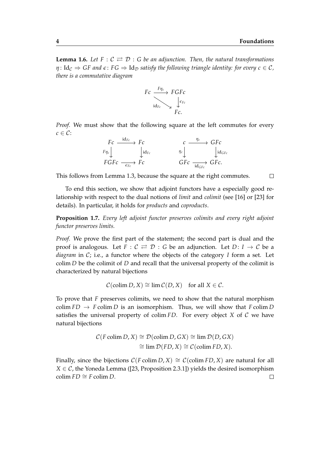$\Box$ 

**Lemma 1.6.** Let  $F: C \rightleftarrows D: G$  be an adjunction. Then, the natural transformations  $\eta: \text{Id}_{\mathcal{C}} \Rightarrow \text{GF and } \epsilon: FG \Rightarrow \text{Id}_{\mathcal{D}}$  *satisfy the following triangle identity: for every*  $c \in \mathcal{C}$ *, there is a commutative diagram*



*Proof.* We must show that the following square at the left commutes for every  $c \in \mathcal{C}$ :

$$
\begin{array}{ccc}\nFc & \xrightarrow{\operatorname{id}_{Fc}} & Fc & & c \xrightarrow{\eta_c} & GFc \\
F\eta_c \downarrow & & \downarrow \operatorname{id}_{Fc} & & \eta_c \downarrow & & \downarrow \operatorname{id}_{GFc} \\
FGFc & \xrightarrow{\epsilon_{Fc}} & Fc & & GFc \xrightarrow{\operatorname{id}_{GFc}} GFc.\n\end{array}
$$

This follows from Lemma 1.3, because the square at the right commutes.

To end this section, we show that adjoint functors have a especially good relationship with respect to the dual notions of *limit* and *colimit* (see [16] or [23] for details). In particular, it holds for *products* and *coproducts*.

**Proposition 1.7.** *Every left adjoint functor preserves colimits and every right adjoint functor preserves limits.*

*Proof.* We prove the first part of the statement; the second part is dual and the proof is analogous. Let  $F: \mathcal{C} \rightleftarrows \mathcal{D}$ : *G* be an adjunction. Let  $D: I \rightarrow \mathcal{C}$  be a *diagram* in C; i.e., a functor where the objects of the category *I* form a set. Let colim *D* be the colimit of *D* and recall that the universal property of the colimit is characterized by natural bijections

$$
C(\text{colim } D, X) \cong \lim C(D, X) \quad \text{for all } X \in \mathcal{C}.
$$

To prove that *F* preserves colimits, we need to show that the natural morphism colim  $FD \rightarrow F$  colim *D* is an isomorphism. Thus, we will show that *F* colim *D* satisfies the universal property of colim  $FD$ . For every object *X* of *C* we have natural bijections

$$
C(F \text{ colim } D, X) \cong \mathcal{D}(\text{colim } D, GX) \cong \lim \mathcal{D}(D, GX)
$$
  

$$
\cong \lim \mathcal{D}(FD, X) \cong C(\text{colim } FD, X).
$$

Finally, since the bijections  $C(F \text{colim } D, X) \cong C(\text{colim } FD, X)$  are natural for all *X*  $\in$  *C*, the Yoneda Lemma ([23, Proposition 2.3.1]) yields the desired isomorphism colim  $FD \cong F$  colim *D*.  $\Box$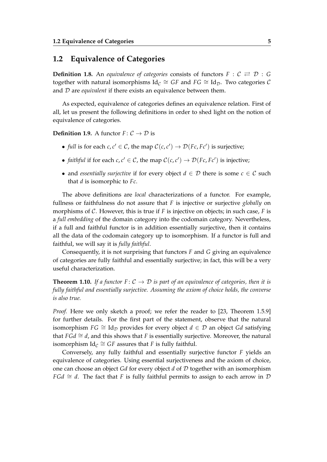### **1.2 Equivalence of Categories**

**Definition 1.8.** An *equivalence of categories* consists of functors  $F : C \rightleftarrows D : G$ together with natural isomorphisms  $Id_{\mathcal{C}} \cong GF$  and  $FG \cong Id_{\mathcal{D}}$ . Two categories  $\mathcal{C}$ and D are *equivalent* if there exists an equivalence between them.

As expected, equivalence of categories defines an equivalence relation. First of all, let us present the following definitions in order to shed light on the notion of equivalence of categories.

**Definition 1.9.** A functor  $F: \mathcal{C} \to \mathcal{D}$  is

- *full* is for each *c*, *c*'  $\in$  *C*, the map  $C(c, c') \rightarrow D(Fc, Fc')$  is surjective;
- *faithful* if for each *c*, *c*'  $\in$  *C*, the map  $C(c, c') \rightarrow D(Fc, Fc')$  is injective;
- and *essentially surjective* if for every object  $d \in \mathcal{D}$  there is some  $c \in \mathcal{C}$  such that *d* is isomorphic to *Fc*.

The above definitions are *local* characterizations of a functor. For example, fullness or faithfulness do not assure that *F* is injective or surjective *globally* on morphisms of  $C$ . However, this is true if  $F$  is injective on objects; in such case,  $F$  is a *full embedding* of the domain category into the codomain category. Nevertheless, if a full and faithful functor is in addition essentially surjective, then it contains all the data of the codomain category up to isomorphism. If a functor is full and faithful, we will say it is *fully faithful*.

Consequently, it is not surprising that functors *F* and *G* giving an equivalence of categories are fully faithful and essentially surjective; in fact, this will be a very useful characterization.

**Theorem 1.10.** If a functor  $F: C \to D$  is part of an equivalence of categories, then it is *fully faithful and essentially surjective. Assuming the axiom of choice holds, the converse is also true.*

*Proof.* Here we only sketch a proof; we refer the reader to [23, Theorem 1.5.9] for further details. For the first part of the statement, observe that the natural isomorphism  $FG \cong Id_{\mathcal{D}}$  provides for every object  $d \in \mathcal{D}$  an object *Gd* satisfying that *FGd*  $\cong$  *d*, and this shows that *F* is essentially surjective. Moreover, the natural isomorphism  $Id_{\mathcal{C}} \cong GF$  assures that *F* is fully faithful.

Conversely, any fully faithful and essentially surjective functor *F* yields an equivalence of categories. Using essential surjectiveness and the axiom of choice, one can choose an object *Gd* for every object *d* of D together with an isomorphism *FGd*  $\cong$  *d*. The fact that *F* is fully faithful permits to assign to each arrow in D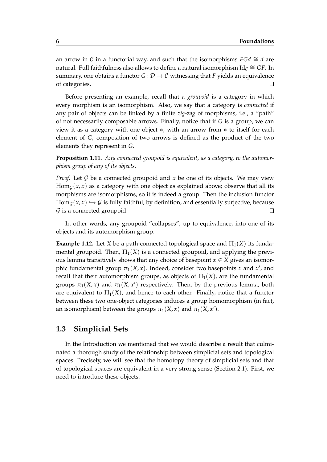an arrow in C in a functorial way, and such that the isomorphisms  $FGd \cong d$  are natural. Full faithfulness also allows to define a natural isomorphism Id $_c \cong G$ F. In summary, one obtains a functor  $G: \mathcal{D} \to \mathcal{C}$  witnessing that *F* yields an equivalence of categories.  $\Box$ 

Before presenting an example, recall that a *groupoid* is a category in which every morphism is an isomorphism. Also, we say that a category is *connected* if any pair of objects can be linked by a finite *zig-zag* of morphisms, i.e., a "path" of not necessarily composable arrows. Finally, notice that if *G* is a group, we can view it as a category with one object ∗, with an arrow from ∗ to itself for each element of *G*; composition of two arrows is defined as the product of the two elements they represent in *G*.

**Proposition 1.11.** *Any connected groupoid is equivalent, as a category, to the automorphism group of any of its objects.*

*Proof.* Let  $G$  be a connected groupoid and  $x$  be one of its objects. We may view  $\text{Hom}_{\mathcal{G}}(x, x)$  as a category with one object as explained above; observe that all its morphisms are isomorphisms, so it is indeed a group. Then the inclusion functor  $\text{Hom}_{\mathcal{G}}(x, x) \hookrightarrow \mathcal{G}$  is fully faithful, by definition, and essentially surjective, because  $G$  is a connected groupoid.  $\Box$ 

In other words, any groupoid "collapses", up to equivalence, into one of its objects and its automorphism group.

**Example 1.12.** Let *X* be a path-connected topological space and  $\Pi_1(X)$  its fundamental groupoid. Then,  $\Pi_1(X)$  is a connected groupoid, and applying the previous lemma transitively shows that any choice of basepoint  $x \in X$  gives an isomorphic fundamental group  $\pi_1(X, x)$ . Indeed, consider two basepoints *x* and *x'*, and recall that their automorphism groups, as objects of  $\Pi_1(X)$ , are the fundamental groups  $\pi_1(X, x)$  and  $\pi_1(X, x')$  respectively. Then, by the previous lemma, both are equivalent to  $\Pi_1(X)$ , and hence to each other. Finally, notice that a functor between these two one-object categories induces a group homomorphism (in fact, an isomorphism) between the groups  $\pi_1(X, x)$  and  $\pi_1(X, x')$ .

#### **1.3 Simplicial Sets**

In the Introduction we mentioned that we would describe a result that culminated a thorough study of the relationship between simplicial sets and topological spaces. Precisely, we will see that the homotopy theory of simplicial sets and that of topological spaces are equivalent in a very strong sense (Section 2.1). First, we need to introduce these objects.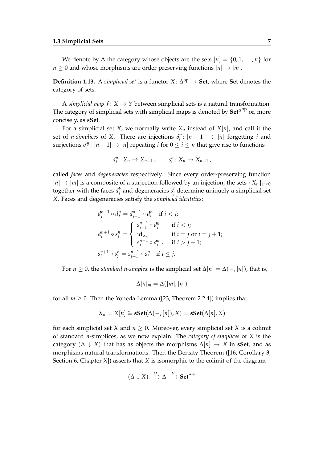We denote by  $\Delta$  the category whose objects are the sets  $[n] = \{0, 1, \ldots, n\}$  for  $n \geq 0$  and whose morphisms are order-preserving functions  $[n] \rightarrow [m]$ .

**Definition 1.13.** A *simplicial set* is a functor  $X: \Delta^{op} \to \mathbf{Set}$ , where **Set** denotes the category of sets.

A *simplicial map*  $f: X \to Y$  between simplicial sets is a natural transformation. The category of simplicial sets with simplicial maps is denoted by Set<sup>∆op</sup> or, more concisely, as **sSet**.

For a simplicial set *X*, we normally write  $X_n$  instead of  $X[n]$ , and call it the set of *n*-simplices of *X*. There are injections  $\delta_i^n : [n-1] \to [n]$  forgetting *i* and surjections  $\sigma_i^n$ :  $[n+1] \to [n]$  repeating *i* for  $0 \le i \le n$  that give rise to functions

$$
d_i^n\colon X_n\to X_{n-1}\,,\qquad s_i^n\colon X_n\to X_{n+1}\,,
$$

called *faces* and *degeneracies* respectively. Since every order-preserving function  $[n] \rightarrow [m]$  is a composite of a surjection followed by an injection, the sets  $\{X_n\}_{n\geq 0}$ together with the faces  $d_i^k$  and degeneracies  $s_j^l$  determine uniquely a simplicial set *X*. Faces and degeneracies satisfy the *simplicial identities*:

$$
d_i^{n-1} \circ d_j^n = d_{j-1}^{n-1} \circ d_i^n \quad \text{if } i < j;
$$
\n
$$
d_i^{n+1} \circ s_j^n = \begin{cases} s_{j-1}^{n-1} \circ d_i^n & \text{if } i < j; \\ \text{id}_{X_n} & \text{if } i = j \text{ or } i = j+1; \\ s_j^{n-1} \circ d_{i-1}^n & \text{if } i > j+1; \end{cases}
$$
\n
$$
s_i^{n+1} \circ s_j^n = s_{j+1}^{n+1} \circ s_i^n \quad \text{if } i \leq j.
$$

For *n*  $\geq$  0, the *standard n-simplex* is the simplicial set  $\Delta[n] = \Delta(-, [n])$ , that is,

$$
\Delta[n]_m = \Delta([m],[n])
$$

for all  $m > 0$ . Then the Yoneda Lemma ([23, Theorem 2.2.4]) implies that

$$
X_n = X[n] \cong \mathbf{sSet}(\Delta(-,[n]), X) = \mathbf{sSet}(\Delta[n], X)
$$

for each simplicial set *X* and  $n > 0$ . Moreover, every simplicial set *X* is a colimit of standard *n*-simplices, as we now explain. The *category of simplices* of *X* is the category  $(\Delta \downarrow X)$  that has as objects the morphisms  $\Delta[n] \rightarrow X$  in **sSet**, and as morphisms natural transformations. Then the Density Theorem ([16, Corollary 3, Section 6, Chapter X]) asserts that *X* is isomorphic to the colimit of the diagram

$$
(\Delta \downarrow X) \xrightarrow{U} \Delta \xrightarrow{Y} \mathbf{Set}^{\Delta^{op}}
$$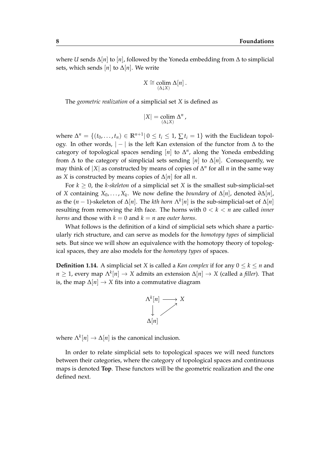where *U* sends  $\Delta[n]$  to [*n*], followed by the Yoneda embedding from  $\Delta$  to simplicial sets, which sends  $[n]$  to  $\Delta[n]$ . We write

$$
X \cong \underset{(\Delta \downarrow X)}{\text{colim }} \Delta[n].
$$

The *geometric realization* of a simplicial set *X* is defined as

$$
|X| = \operatornamewithlimits{colim}_{(\Delta \downarrow X)} \Delta^n,
$$

 $\mathbf{where} \ \Delta^n = \{ (t_0, \ldots, t_n) \in \mathbb{R}^{n+1} | \ 0 \leq t_i \leq 1, \sum t_i = 1 \}$  with the Euclidean topology. In other words,  $|-|$  is the left Kan extension of the functor from  $\Delta$  to the category of topological spaces sending  $[n]$  to  $\Delta^n$ , along the Yoneda embedding from  $\Delta$  to the category of simplicial sets sending [*n*] to  $\Delta[n]$ . Consequently, we may think of  $|X|$  as constructed by means of copies of  $\Delta^n$  for all *n* in the same way as *X* is constructed by means copies of  $\Delta[n]$  for all *n*.

For  $k > 0$ , the *k*-skeleton of a simplicial set *X* is the smallest sub-simplicial-set of *X* containing  $X_0, \ldots, X_k$ . We now define the *boundary* of  $\Delta[n]$ , denoted  $\partial \Delta[n]$ , as the  $(n-1)$ -skeleton of  $\Delta[n]$ . The *kth horn*  $\Lambda^k[n]$  is the sub-simplicial-set of  $\Delta[n]$ resulting from removing the *k*th face. The horns with 0 < *k* < *n* are called *inner horns* and those with  $k = 0$  and  $k = n$  are *outer horns*.

What follows is the definition of a kind of simplicial sets which share a particularly rich structure, and can serve as models for the *homotopy types* of simplicial sets. But since we will show an equivalence with the homotopy theory of topological spaces, they are also models for the *homotopy types* of spaces.

**Definition 1.14.** A simplicial set *X* is called a *Kan complex* if for any  $0 \le k \le n$  and  $n\geq 1$ , every map  $\Lambda^k[n]\to X$  admits an extension  $\Delta[n]\to X$  (called a *filler*). That is, the map  $\Delta[n] \to X$  fits into a commutative diagram



where  $\Lambda^k[n] \to \Delta[n]$  is the canonical inclusion.

In order to relate simplicial sets to topological spaces we will need functors between their categories, where the category of topological spaces and continuous maps is denoted **Top**. These functors will be the geometric realization and the one defined next.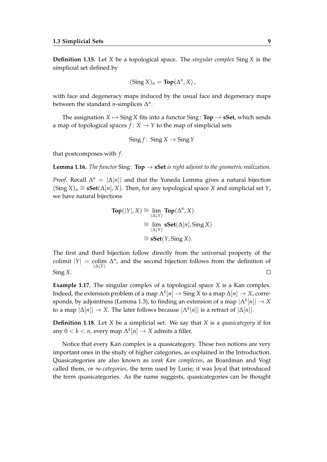**Definition 1.15.** Let *X* be a topological space. The *singular complex* Sing *X* is the simplicial set defined by

$$
(\operatorname{Sing} X)_n = \operatorname{Top}(\Delta^n, X) ,
$$

with face and degeneracy maps induced by the usual face and degeneracy maps between the standard *n*-simplices  $\Delta^n$ .

The assignation  $X \mapsto \text{Sing } X$  fits into a functor Sing: **Top**  $\rightarrow$  **sSet**, which sends a map of topological spaces  $f: X \rightarrow Y$  to the map of simplicial sets

$$
Sing f: Sing X \to Sing Y
$$

that postcomposes with *f* .

**Lemma 1.16.** *The functor* Sing: **Top**  $\rightarrow$  **sSet** *is right adjoint to the geometric realization.* 

*Proof.* Recall  $\Delta^n = |\Delta[n]|$  and that the Yoneda Lemma gives a natural bijection  $(Sing X)<sub>n</sub> ≅ sSet(∆[n], X)$ . Then, for any topological space *X* and simplicial set *Y*, we have natural bijections

Top(|Y|, X) ≅ lim 
$$
\text{Top}(\Delta^n, X)
$$
  
\n≈ lim  $\text{SSet}(\Delta[n], \text{Sing } X)$   
\n≈  $\text{SSet}(Y, \text{Sing } X)$ .

The first and third bijection follow directly from the universal property of the colimit  $|Y| = \text{colim } \Delta^n$ , and the second bijection follows from the definition of (∆↓*Y*) Sing *X*.  $\Box$ 

**Example 1.17.** The singular complex of a topological space *X* is a Kan complex. Indeed, the extension problem of a map  $\Lambda^k[n] \to \operatorname{Sing} X$  to a map  $\Delta[n] \to X$ , corresponds, by adjointness (Lemma 1.3), to finding an extension of a map |Λ*<sup>k</sup>* [*n*]| → *X* to a map  $|\Delta[n]| \to X$ . The later follows because  $|\Lambda^k[n]|$  is a retract of  $|\Delta[n]|$ .

**Definition 1.18.** Let *X* be a simplicial set. We say that *X* is a *quasicategory* if for any 0 < *k* < *n*, every map Λ*<sup>k</sup>* [*n*] → *X* admits a filler.

Notice that every Kan complex is a quasicategory. These two notions are very important ones in the study of higher categories, as explained in the Introduction. Quasicategories are also known as *weak Kan complexes*, as Boardman and Vogt called them, or ∞*-categories*, the term used by Lurie; it was Joyal that introduced the term quasicategories. As the name suggests, quasicategories can be thought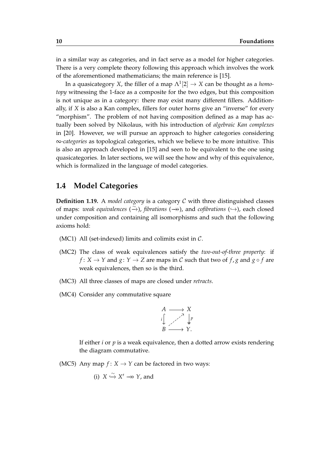in a similar way as categories, and in fact serve as a model for higher categories. There is a very complete theory following this approach which involves the work of the aforementioned mathematicians; the main reference is [15].

In a quasicategory X, the filler of a map  $\Lambda^1[2]\to X$  can be thought as a *homotopy* witnessing the 1-face as a composite for the two edges, but this composition is not unique as in a category: there may exist many different fillers. Additionally, if *X* is also a Kan complex, fillers for outer horns give an "inverse" for every "morphism". The problem of not having composition defined as a map has actually been solved by Nikolaus, with his introduction of *algebraic Kan complexes* in [20]. However, we will pursue an approach to higher categories considering ∞*-categories* as topological categories, which we believe to be more intuitive. This is also an approach developed in [15] and seen to be equivalent to the one using quasicategories. In later sections, we will see the how and why of this equivalence, which is formalized in the language of model categories.

#### **1.4 Model Categories**

**Definition 1.19.** A *model category* is a category C with three distinguished classes of maps: *weak equivalences* (→), *fibrations* (→), and *cofibrations* (→), each closed under composition and containing all isomorphisms and such that the following axioms hold:

- (MC1) All (set-indexed) limits and colimits exist in  $C$ .
- (MC2) The class of weak equivalences satisfy the *two-out-of-three property*: if *f* : *X*  $\rightarrow$  *Y* and *g* : *Y*  $\rightarrow$  *Z* are maps in *C* such that two of *f*, *g* and *g*  $\circ$  *f* are weak equivalences, then so is the third.
- (MC3) All three classes of maps are closed under *retracts*.
- (MC4) Consider any commutative square

$$
A \longrightarrow X
$$
  
\n
$$
i \downarrow \qquad \qquad \downarrow \qquad \downarrow \qquad \downarrow
$$
  
\n
$$
B \longrightarrow Y.
$$

If either *i* or *p* is a weak equivalence, then a dotted arrow exists rendering the diagram commutative.

(MC5) Any map  $f: X \to Y$  can be factored in two ways:

(i) 
$$
X \xrightarrow{\sim} X' \rightarrow Y
$$
, and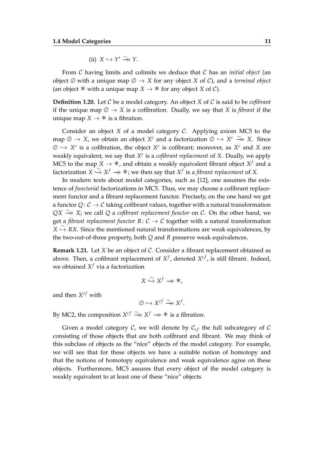(ii) 
$$
X \hookrightarrow Y' \xrightarrow{\sim} Y
$$
.

From C having limits and colimits we deduce that C has an *initial object* (an object  $\emptyset$  with a unique map  $\emptyset \to X$  for any object *X* of *C*), and a *terminal object* (an object  $*$  with a unique map  $X \to *$  for any object *X* of *C*).

**Definition 1.20.** Let C be a model category. An object *X* of C is said to be *cofibrant* if the unique map  $\emptyset \to X$  is a cofibration. Dually, we say that *X* is *fibrant* if the unique map  $X \rightarrow *$  is a fibration.

Consider an object *X* of a model category C. Applying axiom MC5 to the map  $\emptyset \to X$ , we obtain an object  $X^c$  and a factorization  $\emptyset \hookrightarrow X^c \xrightarrow{\sim} X$ . Since  $\emptyset \hookrightarrow X^c$  is a cofibration, the object  $X^c$  is cofibrant; moreover, as  $X^c$  and X are weakly equivalent, we say that  $X^c$  is a *cofibrant replacement* of *X*. Dually, we apply MC5 to the map  $X \to \ast$ , and obtain a weakly equivalent fibrant object  $X^f$  and a  $\overrightarrow{f}$  actorization  $X \stackrel{1}{\hookrightarrow} X^f \longrightarrow *$ ; we then say that  $X^f$  is a *fibrant replacement* of *X*.

In modern texts about model categories, such as [12], one assumes the existence of *functorial* factorizations in MC5. Thus, we may choose a cofibrant replacement functor and a fibrant replacement functor. Precisely, on the one hand we get a functor  $Q: \mathcal{C} \to \mathcal{C}$  taking cofibrant values, together with a natural transformation *QX*  $\xrightarrow{\sim}$  *X*; we call *Q* a *cofibrant replacement functor* on *C*. On the other hand, we get a *fibrant replacement functor*  $R: \mathcal{C} \to \mathcal{C}$  together with a natural transformation  $X \overset{\sim}{\hookrightarrow} RX$ . Since the mentioned natural transformations are weak equivalences, by the two-out-of-three property, both *Q* and *R* preserve weak equivalences.

**Remark 1.21.** Let *X* be an object of C. Consider a fibrant replacement obtained as above. Then, a cofibrant replacement of  $X^f$ , denoted  $X^{cf}$ , is still fibrant. Indeed, we obtained *X <sup>f</sup>* via a factorization

$$
X \stackrel{\sim}{\hookrightarrow} X^f \to \ast
$$

and then  $X^{cf}$  with

$$
\emptyset \hookrightarrow X^{cf} \xrightarrow{\sim} X^f.
$$

By MC2, the composition  $X^{cf} \xrightarrow{\sim} X^f \rightarrow X^f$  is a fibration.

Given a model category  $C$ , we will denote by  $C_{cf}$  the full subcategory of C consisting of those objects that are both cofibrant and fibrant. We may think of this subclass of objects as the "nice" objects of the model category. For example, we will see that for these objects we have a suitable notion of homotopy and that the notions of homotopy equivalence and weak equivalence agree on these objects. Furthermore, MC5 assures that every object of the model category is weakly equivalent to at least one of these "nice" objects.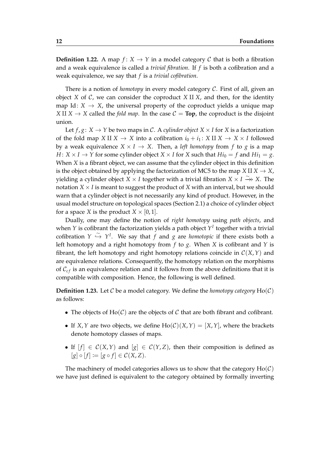**Definition 1.22.** A map  $f: X \to Y$  in a model category C that is both a fibration and a weak equivalence is called a *trivial fibration*. If *f* is both a cofibration and a weak equivalence, we say that *f* is a *trivial cofibration*.

There is a notion of *homotopy* in every model category C. First of all, given an object *X* of *C*, we can consider the coproduct *X* II *X*, and then, for the identity map Id:  $X \rightarrow X$ , the universal property of the coproduct yields a unique map *X*  $\text{II } X \to X$  called the *fold map*. In the case  $C = \text{Top}$ , the coproduct is the disjoint union.

Let  $f$ ,  $g: X \to Y$  be two maps in C. A *cylinder object*  $X \times I$  for X is a factorization of the fold map *X* II *X*  $\rightarrow$  *X* into a cofibration  $i_0 + i_1$ : *X* II *X*  $\rightarrow$  *X*  $\times$  *I* followed by a weak equivalence  $X \times I \rightarrow X$ . Then, a *left homotopy* from f to g is a map *H* :  $X \times I \rightarrow Y$  for some cylinder object  $X \times I$  for *X* such that  $Hi_0 = f$  and  $Hi_1 = g$ . When *X* is a fibrant object, we can assume that the cylinder object in this definition is the object obtained by applying the factorization of MC5 to the map  $X \amalg X \rightarrow X$ , yielding a cylinder object  $X \times I$  together with a trivial fibration  $X \times I \xrightarrow{\sim} X$ . The notation  $X \times I$  is meant to suggest the product of  $X$  with an interval, but we should warn that a cylinder object is not necessarily any kind of product. However, in the usual model structure on topological spaces (Section 2.1) a choice of cylinder object for a space *X* is the product  $X \times [0, 1]$ .

Dually, one may define the notion of *right homotopy* using *path objects*, and when *Y* is cofibrant the factorization yields a path object  $Y^I$  together with a trivial cofibration  $Y \stackrel{\sim}{\hookrightarrow} Y^I$ . We say that *f* and *g* are *homotopic* if there exists both a left homotopy and a right homotopy from *f* to *g*. When *X* is cofibrant and *Y* is fibrant, the left homotopy and right homotopy relations coincide in  $C(X, Y)$  and are equivalence relations. Consequently, the homotopy relation on the morphisms of  $C_{cf}$  is an equivalence relation and it follows from the above definitions that it is compatible with composition. Hence, the following is well defined.

**Definition 1.23.** Let C be a model category. We define the *homotopy category*  $Ho(C)$ as follows:

- The objects of  $Ho(C)$  are the objects of C that are both fibrant and cofibrant.
- If *X*, *Y* are two objects, we define  $Ho(C)(X, Y) = [X, Y]$ , where the brackets denote homotopy classes of maps.
- If  $[f] \in C(X,Y)$  and  $[g] \in C(Y,Z)$ , then their composition is defined as  $[g] \circ [f] := [g \circ f] \in \mathcal{C}(X,Z).$

The machinery of model categories allows us to show that the category  $Ho(\mathcal{C})$ we have just defined is equivalent to the category obtained by formally inverting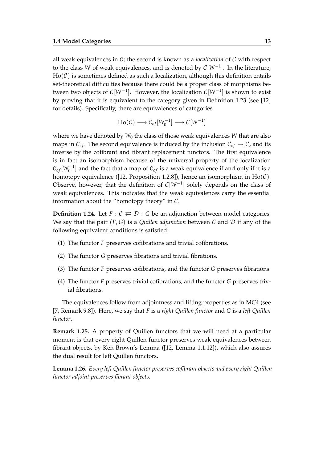all weak equivalences in C; the second is known as a *localization* of C with respect to the class *W* of weak equivalences, and is denoted by C[*W*−<sup>1</sup> ]. In the literature,  $Ho(C)$  is sometimes defined as such a localization, although this definition entails set-theoretical difficulties because there could be a proper class of morphisms between two objects of C[*W*−<sup>1</sup> ]. However, the localization C[*W*−<sup>1</sup> ] is shown to exist by proving that it is equivalent to the category given in Definition 1.23 (see [12] for details). Specifically, there are equivalences of categories

$$
Ho(\mathcal{C}) \longrightarrow \mathcal{C}_{cf}[W_0^{-1}] \longrightarrow \mathcal{C}[W^{-1}]
$$

where we have denoted by  $W_0$  the class of those weak equivalences  $W$  that are also maps in  $C_{cf}$ . The second equivalence is induced by the inclusion  $C_{cf} \rightarrow C$ , and its inverse by the cofibrant and fibrant replacement functors. The first equivalence is in fact an isomorphism because of the universal property of the localization  $\mathcal{C}_{cf}[W_0^{-1}]$  and the fact that a map of  $\mathcal{C}_{cf}$  is a weak equivalence if and only if it is a homotopy equivalence ([12, Proposition 1.2.8]), hence an isomorphism in  $Ho(\mathcal{C})$ . Observe, however, that the definition of  $\mathcal{C}[W^{-1}]$  solely depends on the class of weak equivalences. This indicates that the weak equivalences carry the essential information about the "homotopy theory" in  $\mathcal{C}$ .

**Definition 1.24.** Let  $F: \mathcal{C} \rightleftarrows \mathcal{D}$ : *G* be an adjunction between model categories. We say that the pair  $(F, G)$  is a *Quillen adjunction* between  $C$  and  $D$  if any of the following equivalent conditions is satisfied:

- (1) The functor *F* preserves cofibrations and trivial cofibrations.
- (2) The functor *G* preserves fibrations and trivial fibrations.
- (3) The functor *F* preserves cofibrations, and the functor *G* preserves fibrations.
- (4) The functor *F* preserves trivial cofibrations, and the functor *G* preserves trivial fibrations.

The equivalences follow from adjointness and lifting properties as in MC4 (see [7, Remark 9.8]). Here, we say that *F* is a *right Quillen functor* and *G* is a *left Quillen functor*.

**Remark 1.25.** A property of Quillen functors that we will need at a particular moment is that every right Quillen functor preserves weak equivalences between fibrant objects, by Ken Brown's Lemma ([12, Lemma 1.1.12]), which also assures the dual result for left Quillen functors.

**Lemma 1.26.** *Every left Quillen functor preserves cofibrant objects and every right Quillen functor adjoint preserves fibrant objects.*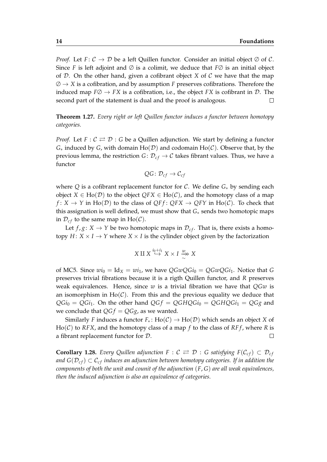*Proof.* Let  $F: \mathcal{C} \to \mathcal{D}$  be a left Quillen functor. Consider an initial object  $\emptyset$  of  $\mathcal{C}$ . Since *F* is left adjoint and  $\emptyset$  is a colimit, we deduce that  $F\emptyset$  is an initial object of D. On the other hand, given a cofibrant object *X* of C we have that the map  $\emptyset \to X$  is a cofibration, and by assumption *F* preserves cofibrations. Therefore the induced map  $F\emptyset \rightarrow FX$  is a cofibration, i.e., the object *FX* is cofibrant in D. The second part of the statement is dual and the proof is analogous.  $\Box$ 

**Theorem 1.27.** *Every right or left Quillen functor induces a functor between homotopy categories.*

*Proof.* Let  $F: \mathcal{C} \rightleftarrows \mathcal{D}$ : *G* be a Quillen adjunction. We start by defining a functor  $G_*$  induced by *G*, with domain  $Ho(D)$  and codomain  $Ho(C)$ . Observe that, by the previous lemma, the restriction *G* :  $\mathcal{D}_{cf} \rightarrow \mathcal{C}$  takes fibrant values. Thus, we have a functor

$$
QG\colon \mathcal{D}_{cf}\to \mathcal{C}_{cf}
$$

where *Q* is a cofibrant replacement functor for C. We define *G*<sup>∗</sup> by sending each object  $X \in Ho(\mathcal{D})$  to the object  $QFX \in Ho(\mathcal{C})$ , and the homotopy class of a map *f* : *X*  $\rightarrow$  *Y* in Ho(*D*) to the class of *QFf* : *QFX*  $\rightarrow$  *QFY* in Ho(*C*). To check that this assignation is well defined, we must show that *G*∗ sends two homotopic maps in  $\mathcal{D}_{cf}$  to the same map in Ho( $\mathcal{C}$ ).

Let  $f, g: X \to Y$  be two homotopic maps in  $\mathcal{D}_{cf}$ . That is, there exists a homotopy  $H: X \times I \rightarrow Y$  where  $X \times I$  is the cylinder object given by the factorization

$$
X \amalg X \stackrel{i_0 + i_1}{\hookrightarrow} X \times I \xrightarrow{\omega} X
$$

of MC5. Since  $wi_0 = Id_X = wi_1$ , we have  $QGwQGi_0 = QGwQGi_1$ . Notice that G preserves trivial fibrations because it is a rigth Quillen functor, and *R* preserves weak equivalences. Hence, since *w* is a trivial fibration we have that *QGw* is an isomorphism in  $Ho(\mathcal{C})$ . From this and the previous equality we deduce that  $QGi_0 = QGi_1$ . On the other hand  $QGf = QGHQGi_0 = QGHQGi_1 = QGg$  and we conclude that  $QGf = QGg$ , as we wanted.

Similarly *F* induces a functor  $F_*$ : Ho( $C$ )  $\rightarrow$  Ho( $D$ ) which sends an object *X* of  $Ho(C)$  to *RFX*, and the homotopy class of a map *f* to the class of *RFf*, where *R* is a fibrant replacement functor for D.  $\Box$ 

**Corollary 1.28.** *Every Quillen adjunction*  $F : C \rightleftarrows D : G$  *satisfying*  $F(\mathcal{C}_{cf}) \subset \mathcal{D}_{cf}$ *and*  $G(\mathcal{D}_{cf}) \subset \mathcal{C}_{cf}$  *induces an adjunction between homotopy categories. If in addition the components of both the unit and counit of the adjunction* (*F*, *G*) *are all weak equivalences, then the induced adjunction is also an equivalence of categories.*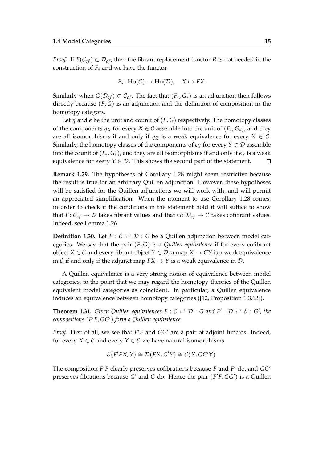*Proof.* If  $F(\mathcal{C}_{cf}) \subset \mathcal{D}_{cf}$ , then the fibrant replacement functor *R* is not needed in the construction of *F*∗ and we have the functor

$$
F_*\colon \text{Ho}(\mathcal{C}) \to \text{Ho}(\mathcal{D}), \quad X \mapsto FX.
$$

Similarly when  $G(\mathcal{D}_{cf}) \subset \mathcal{C}_{cf}$ . The fact that  $(F_*, G_*)$  is an adjunction then follows directly because (*F*, *G*) is an adjunction and the definition of composition in the homotopy category.

Let  $\eta$  and  $\epsilon$  be the unit and counit of  $(F, G)$  respectively. The homotopy classes of the components  $\eta_X$  for every  $X \in \mathcal{C}$  assemble into the unit of  $(F_*, G_*)$ , and they are all isomorphisms if and only if  $\eta_X$  is a weak equivalence for every  $X \in \mathcal{C}$ . Similarly, the homotopy classes of the components of  $\epsilon_Y$  for every  $Y \in \mathcal{D}$  assemble into the counit of  $(F_*, G_*)$ , and they are all isomorphisms if and only if  $\epsilon_Y$  is a weak equivalence for every *Y*  $\in \mathcal{D}$ . This shows the second part of the statement.  $\Box$ 

**Remark 1.29.** The hypotheses of Corollary 1.28 might seem restrictive because the result is true for an arbitrary Quillen adjunction. However, these hypotheses will be satisfied for the Quillen adjunctions we will work with, and will permit an appreciated simplification. When the moment to use Corollary 1.28 comes, in order to check if the conditions in the statement hold it will suffice to show that *F* :  $C_{cf} \rightarrow \mathcal{D}$  takes fibrant values and that *G* :  $\mathcal{D}_{cf} \rightarrow \mathcal{C}$  takes cofibrant values. Indeed, see Lemma 1.26.

**Definition 1.30.** Let  $F: \mathcal{C} \rightleftarrows \mathcal{D}$ : *G* be a Quillen adjunction between model categories. We say that the pair (*F*, *G*) is a *Quillen equivalence* if for every cofibrant object *X* ∈ *C* and every fibrant object *Y* ∈ *D*, a map *X* → *GY* is a weak equivalence in C if and only if the adjunct map  $FX \rightarrow Y$  is a weak equivalence in  $D$ .

A Quillen equivalence is a very strong notion of equivalence between model categories, to the point that we may regard the homotopy theories of the Quillen equivalent model categories as coincident. In particular, a Quillen equivalence induces an equivalence between homotopy categories ([12, Proposition 1.3.13]).

**Theorem 1.31.** *Given Quillen equivalences*  $F : C \rightleftarrows D : G$  *and*  $F' : D \rightleftarrows \mathcal{E} : G'$ , the *compositions* (*F*<sup> $\prime$ </sup>*F*, *GG*<sup> $\prime$ </sup>) *form a Quillen equivalence.* 

*Proof.* First of all, we see that  $F'F$  and  $GG'$  are a pair of adjoint functos. Indeed, for every *X*  $\in \mathcal{C}$  and every *Y*  $\in \mathcal{E}$  we have natural isomorphisms

$$
\mathcal{E}(F'FX, Y) \cong \mathcal{D}(FX, G'Y) \cong \mathcal{C}(X, GG'Y).
$$

The composition  $F'F$  clearly preserves cofibrations because *F* and *F'* do, and *GG<sup>'</sup>* preserves fibrations because  $G'$  and  $G$  do. Hence the pair  $(F'F, GG')$  is a Quillen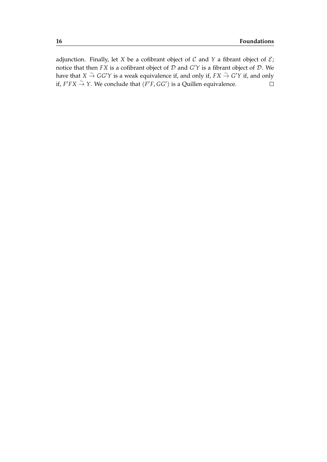adjunction. Finally, let *X* be a cofibrant object of *C* and *Y* a fibrant object of  $\mathcal{E}$ ; notice that then *FX* is a cofibrant object of  $D$  and  $G'Y$  is a fibrant object of  $D$ . We have that  $X \stackrel{\sim}{\rightarrow} G G'Y$  is a weak equivalence if, and only if,  $FX \stackrel{\sim}{\rightarrow} G'Y$  if, and only if,  $F'FX$   $\stackrel{\sim}{\rightarrow}$  *Y*. We conclude that  $(F'F, GG')$  is a Quillen equivalence.  $\Box$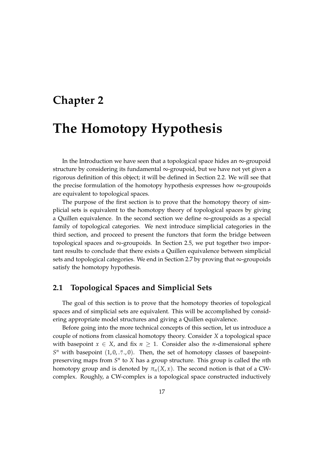## **Chapter 2**

# **The Homotopy Hypothesis**

In the Introduction we have seen that a topological space hides an  $\infty$ -groupoid structure by considering its fundamental ∞-groupoid, but we have not yet given a rigorous definition of this object; it will be defined in Section 2.2. We will see that the precise formulation of the homotopy hypothesis expresses how  $\infty$ -groupoids are equivalent to topological spaces.

The purpose of the first section is to prove that the homotopy theory of simplicial sets is equivalent to the homotopy theory of topological spaces by giving a Quillen equivalence. In the second section we define ∞-groupoids as a special family of topological categories. We next introduce simplicial categories in the third section, and proceed to present the functors that form the bridge between topological spaces and ∞-groupoids. In Section 2.5, we put together two important results to conclude that there exists a Quillen equivalence between simplicial sets and topological categories. We end in Section 2.7 by proving that ∞-groupoids satisfy the homotopy hypothesis.

### **2.1 Topological Spaces and Simplicial Sets**

The goal of this section is to prove that the homotopy theories of topological spaces and of simplicial sets are equivalent. This will be accomplished by considering appropriate model structures and giving a Quillen equivalence.

Before going into the more technical concepts of this section, let us introduce a couple of notions from classical homotopy theory. Consider *X* a topological space with basepoint  $x \in X$ , and fix  $n \geq 1$ . Consider also the *n*-dimensional sphere *S<sup>n</sup>* with basepoint (1, 0,  $\cdot$ <sup>n</sup> $\cdot$ , 0). Then, the set of homotopy classes of basepointpreserving maps from  $S<sup>n</sup>$  to *X* has a group structure. This group is called the *n*th homotopy group and is denoted by  $\pi_n(X, x)$ . The second notion is that of a CWcomplex. Roughly, a CW-complex is a topological space constructed inductively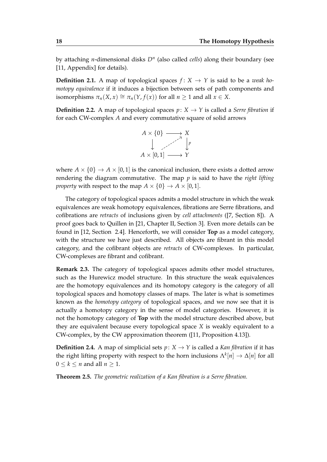by attaching *n*-dimensional disks  $D^n$  (also called *cells*) along their boundary (see [11, Appendix] for details).

**Definition 2.1.** A map of topological spaces  $f: X \rightarrow Y$  is said to be a *weak homotopy equivalence* if it induces a bijection between sets of path components and isomorphisms  $\pi_n(X, x) \cong \pi_n(Y, f(x))$  for all  $n \ge 1$  and all  $x \in X$ .

**Definition 2.2.** A map of topological spaces  $p: X \rightarrow Y$  is called a *Serre fibration* if for each CW-complex *A* and every commutative square of solid arrows



where  $A \times \{0\} \rightarrow A \times [0,1]$  is the canonical inclusion, there exists a dotted arrow rendering the diagram commutative. The map *p* is said to have the *right lifting property* with respect to the map  $A \times \{0\} \rightarrow A \times [0,1]$ .

The category of topological spaces admits a model structure in which the weak equivalences are weak homotopy equivalences, fibrations are Serre fibrations, and cofibrations are *retracts* of inclusions given by *cell attachments* ([7, Section 8]). A proof goes back to Quillen in [21, Chapter II, Section 3]. Even more details can be found in [12, Section 2.4]. Henceforth, we will consider **Top** as a model category, with the structure we have just described. All objects are fibrant in this model category, and the cofibrant objects are *retracts* of CW-complexes. In particular, CW-complexes are fibrant and cofibrant.

**Remark 2.3.** The category of topological spaces admits other model structures, such as the Hurewicz model structure. In this structure the weak equivalences are the homotopy equivalences and its homotopy category is the category of all topological spaces and homotopy classes of maps. The later is what is sometimes known as the *homotopy category* of topological spaces, and we now see that it is actually a homotopy category in the sense of model categories. However, it is not the homotopy category of **Top** with the model structure described above, but they are equivalent because every topological space *X* is weakly equivalent to a CW-complex, by the CW approximation theorem ([11, Proposition 4.13]).

**Definition 2.4.** A map of simplicial sets  $p: X \rightarrow Y$  is called a *Kan fibration* if it has the right lifting property with respect to the horn inclusions  $\Lambda^k[n] \to \Delta[n]$  for all  $0 \leq k \leq n$  and all  $n \geq 1$ .

**Theorem 2.5.** *The geometric realization of a Kan fibration is a Serre fibration.*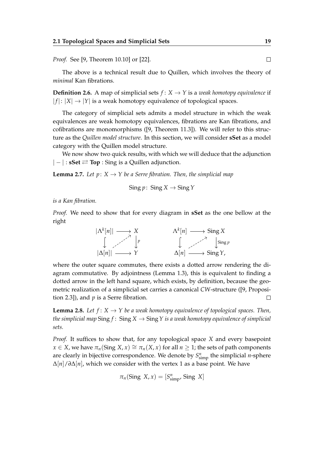*Proof.* See [9, Theorem 10.10] or [22].

The above is a technical result due to Quillen, which involves the theory of *minimal* Kan fibrations.

**Definition 2.6.** A map of simplicial sets  $f: X \rightarrow Y$  is a *weak homotopy equivalence* if  $|f|: |X| \to |Y|$  is a weak homotopy equivalence of topological spaces.

The category of simplicial sets admits a model structure in which the weak equivalences are weak homotopy equivalences, fibrations are Kan fibrations, and cofibrations are monomorphisms ([9, Theorem 11.3]). We will refer to this structure as the *Quillen model structure*. In this section, we will consider **sSet** as a model category with the Quillen model structure.

We now show two quick results, with which we will deduce that the adjunction | − | : **sSet Top** : Sing is a Quillen adjunction.

**Lemma 2.7.** Let  $p: X \to Y$  be a Serre fibration. Then, the simplicial map

 $Sing p: Sing X \rightarrow Sing Y$ 

*is a Kan fibration.*

*Proof.* We need to show that for every diagram in **sSet** as the one bellow at the right



where the outer square commutes, there exists a dotted arrow rendering the diagram commutative. By adjointness (Lemma 1.3), this is equivalent to finding a dotted arrow in the left hand square, which exists, by definition, because the geometric realization of a simplicial set carries a canonical *CW*-structure ([9, Proposition 2.3]), and *p* is a Serre fibration.  $\Box$ 

**Lemma 2.8.** Let  $f: X \to Y$  be a weak homotopy equivalence of topological spaces. Then, *the simplicial map*  $\text{Sing } f: \text{Sing } X \to \text{Sing } Y$  *is a weak homotopy equivalence of simplicial sets.*

*Proof.* It suffices to show that, for any topological space *X* and every basepoint  $x \in X$ , we have  $\pi_n(\text{Sing } X, x) \cong \pi_n(X, x)$  for all  $n \geq 1$ ; the sets of path components are clearly in bijective correspondence. We denote by  $S_{\text{simp}}^n$  the simplicial *n*-sphere ∆[*n*]/*∂*∆[*n*], which we consider with the vertex 1 as a base point. We have

 $\pi_n(\text{Sing } X, x) = [S^n_{\text{simp}}, \text{Sing } X]$ 

 $\Box$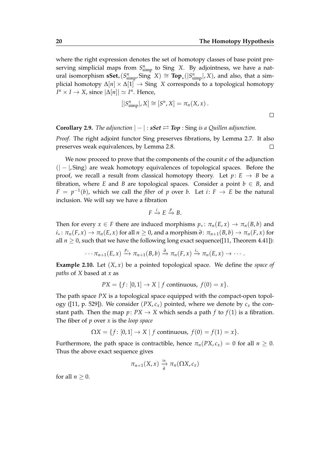where the right expression denotes the set of homotopy classes of base point preserving simplicial maps from  $S_{\text{simp}}^n$  to Sing *X*. By adjointness, we have a natural isomorphism  $\textbf{sSet}_*(S_{\text{simp}}^n, \text{Sing } X) \cong \textbf{Top}_*(|S_{\text{simp}}^n|, X)$ , and also, that a simplicial homotopy ∆[*n*] × ∆[1] → Sing *X* corresponds to a topological homotopy  $I^n \times I \to X$ , since  $|\Delta[n]| \simeq I^n$ . Hence,

$$
[|S_{\text{simp}}^n|, X] \cong [S^n, X] = \pi_n(X, x).
$$

**Corollary 2.9.** *The adjunction*  $|-|$  : *sSet*  $\rightleftarrows$  *Top* : Sing *is a Quillen adjunction.* 

*Proof.* The right adjoint functor Sing preserves fibrations, by Lemma 2.7. It also preserves weak equivalences, by Lemma 2.8.  $\Box$ 

We now proceed to prove that the components of the counit  $\epsilon$  of the adjunction (| − |, Sing) are weak homotopy equivalences of topological spaces. Before the proof, we recall a result from classical homotopy theory. Let  $p: E \rightarrow B$  be a fibration, where *E* and *B* are topological spaces. Consider a point  $b \in B$ , and  $F = p^{-1}(b)$ , which we call the *fiber* of *p* over *b*. Let *i*:  $F \rightarrow E$  be the natural inclusion. We will say we have a fibration

$$
F \xrightarrow{i} E \xrightarrow{p} B.
$$

Then for every  $x \in F$  there are induced morphisms  $p_* \colon \pi_n(E, x) \to \pi_n(B, b)$  and  $i_*: \pi_n(F, x) \to \pi_n(E, x)$  for all  $n \geq 0$ , and a morphism  $\partial: \pi_{n+1}(B, b) \to \pi_n(F, x)$  for all  $n > 0$ , such that we have the following long exact sequence([11, Theorem 4.41]):

$$
\cdots \pi_{n+1}(E,x) \stackrel{p_*}{\longrightarrow} \pi_{n+1}(B,b) \stackrel{\partial}{\longrightarrow} \pi_n(F,x) \stackrel{i_*}{\longrightarrow} \pi_n(E,x) \longrightarrow \cdots
$$

**Example 2.10.** Let (*X*, *x*) be a pointed topological space. We define the *space of paths* of *X* based at *x* as

 $PX = \{f : [0, 1] \rightarrow X \mid f \text{ continuous}, f(0) = x\}.$ 

The path space *PX* is a topological space equipped with the compact-open topology ([11, p. 529]). We consider  $(PX, c<sub>x</sub>)$  pointed, where we denote by  $c<sub>x</sub>$  the constant path. Then the map  $p: PX \to X$  which sends a path f to  $f(1)$  is a fibration. The fiber of *p* over *x* is the *loop space*

$$
\Omega X = \{ f : [0,1] \to X \mid f \text{ continuous, } f(0) = f(1) = x \}.
$$

Furthermore, the path space is contractible, hence  $\pi_n(PX, c_x) = 0$  for all  $n \ge 0$ . Thus the above exact sequence gives

$$
\pi_{n+1}(X,x) \xrightarrow[\partial]{\simeq} \pi_n(\Omega X,c_x)
$$

for all  $n > 0$ .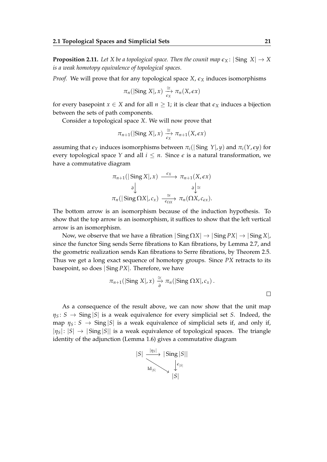**Proposition 2.11.** Let X be a topological space. Then the counit map  $\epsilon_X$ :  $|\text{Sing } X| \to X$ *is a weak homotopy equivalence of topological spaces.*

*Proof.* We will prove that for any topological space  $X$ ,  $\epsilon_X$  induces isomorphisms

$$
\pi_n(|\text{Sing }X|,x) \xrightarrow[\epsilon_X]{} \pi_n(X,\epsilon x)
$$

for every basepoint  $x \in X$  and for all  $n \geq 1$ ; it is clear that  $\epsilon_X$  induces a bijection between the sets of path components.

Consider a topological space *X*. We will now prove that

$$
\pi_{n+1}(|\text{Sing }X|,x) \xrightarrow[\epsilon_X]{} \pi_{n+1}(X,\epsilon x)
$$

assuming that  $\epsilon_Y$  induces isomorphisms between  $\pi_i(|\text{Sing } Y|, \psi)$  and  $\pi_i(Y, \epsilon_Y)$  for every topological space *Y* and all  $i \leq n$ . Since  $\epsilon$  is a natural transformation, we have a commutative diagram

$$
\pi_{n+1}(|\operatorname{Sing} X|, x) \xrightarrow{\epsilon_X} \pi_{n+1}(X, \epsilon x)
$$

$$
\partial \downarrow \qquad \qquad \partial \downarrow \cong
$$

$$
\pi_n(|\operatorname{Sing} \Omega X|, c_x) \xrightarrow[\epsilon_{\Omega X}]{} \pi_n(\Omega X, c_{\epsilon x}).
$$

The bottom arrow is an isomorphism because of the induction hypothesis. To show that the top arrow is an isomorphism, it suffices to show that the left vertical arrow is an isomorphism.

Now, we observe that we have a fibration  $|\text{Sing }\Omega X| \to |\text{Sing }P X| \to |\text{Sing }X|$ , since the functor Sing sends Serre fibrations to Kan fibrations, by Lemma 2.7, and the geometric realization sends Kan fibrations to Serre fibrations, by Theorem 2.5. Thus we get a long exact sequence of homotopy groups. Since *PX* retracts to its basepoint, so does | Sing *PX*|. Therefore, we have

$$
\pi_{n+1}(|\text{Sing }X|,x)\overset{\cong}{\underset{\partial}{\to}}\pi_n(|\text{Sing }\Omega X|,c_x).
$$

As a consequence of the result above, we can now show that the unit map  $\eta_S$ : *S*  $\rightarrow$  Sing |*S*| is a weak equivalence for every simplicial set *S*. Indeed, the map  $\eta_S$ :  $S \to \text{Sing } |S|$  is a weak equivalence of simplicial sets if, and only if,  $|\eta_S|: |S| \to |\text{Sing}|S||$  is a weak equivalence of topological spaces. The triangle identity of the adjunction (Lemma 1.6) gives a commutative diagram

$$
|S| \xrightarrow{|\eta_S|} |{\text{Sing }|S||}
$$
  

$$
\downarrow_{\epsilon_{|S|}} |S||
$$
  

$$
|S|
$$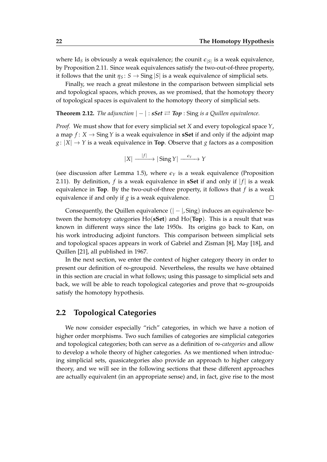where Id<sub>S</sub> is obviously a weak equivalence; the counit  $\epsilon_{|S|}$  is a weak equivalence, by Proposition 2.11. Since weak equivalences satisfy the two-out-of-three property, it follows that the unit  $\eta_s$ :  $S \to \text{Sing } |S|$  is a weak equivalence of simplicial sets.

Finally, we reach a great milestone in the comparison between simplicial sets and topological spaces, which proves, as we promised, that the homotopy theory of topological spaces is equivalent to the homotopy theory of simplicial sets.

**Theorem 2.12.** *The adjunction*  $|-|$  :  $\mathbf{sSet} \rightleftarrows \mathbf{Top}$  : Sing *is a Quillen equivalence.* 

*Proof.* We must show that for every simplicial set *X* and every topological space *Y*, a map  $f: X \to \text{Sing } Y$  is a weak equivalence in **sSet** if and only if the adjoint map  $g: |X| \to Y$  is a weak equivalence in **Top**. Observe that *g* factors as a composition

$$
|X| \xrightarrow{|f|} |\operatorname{Sing} Y| \xrightarrow{\epsilon_Y} Y
$$

(see discussion after Lemma 1.5), where  $\epsilon_Y$  is a weak equivalence (Proposition 2.11). By definition,  $f$  is a weak equivalence in **sSet** if and only if  $|f|$  is a weak equivalence in **Top**. By the two-out-of-three property, it follows that *f* is a weak equivalence if and only if *g* is a weak equivalence.  $\Box$ 

Consequently, the Quillen equivalence  $(| - |, Sing)$  induces an equivalence between the homotopy categories Ho(**sSet**) and Ho(**Top**). This is a result that was known in different ways since the late 1950s. Its origins go back to Kan, on his work introducing adjoint functors. This comparison between simplicial sets and topological spaces appears in work of Gabriel and Zisman [8], May [18], and Quillen [21], all published in 1967.

In the next section, we enter the context of higher category theory in order to present our definition of  $\infty$ -groupoid. Nevertheless, the results we have obtained in this section are crucial in what follows; using this passage to simplicial sets and back, we will be able to reach topological categories and prove that ∞-groupoids satisfy the homotopy hypothesis.

#### **2.2 Topological Categories**

We now consider especially "rich" categories, in which we have a notion of higher order morphisms. Two such families of categories are simplicial categories and topological categories; both can serve as a definition of ∞*-categories* and allow to develop a whole theory of higher categories. As we mentioned when introducing simplicial sets, quasicategories also provide an approach to higher category theory, and we will see in the following sections that these different approaches are actually equivalent (in an appropriate sense) and, in fact, give rise to the most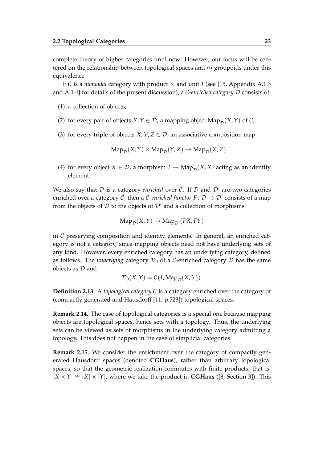complete theory of higher categories until now. However, our focus will be centered on the relationship between topological spaces and ∞-groupoids under this equivalence.

If C is a *monoidal* category with product  $\times$  and unit *I* (see [15, Appendix A.1.3] and A.1.4] for details of the present discussion), a C*-enriched category* D consists of:

- (1) a collection of objects;
- (2) for every pair of objects *X*,  $Y \in \mathcal{D}$ , a mapping object  $\text{Map}_{\mathcal{D}}(X, Y)$  of  $\mathcal{C}$ ;
- (3) for every triple of objects *X*, *Y*, *Z*  $\in$  *D*, an associative composition map

 $\mathrm{Map}_{\mathcal{D}}(X, Y) \times \mathrm{Map}_{\mathcal{D}}(Y, Z) \rightarrow \mathrm{Map}_{\mathcal{D}}(X, Z).$ 

(4) for every object  $X \in \mathcal{D}$ , a morphism  $I \to \mathrm{Map}_{\mathcal{D}}(X, X)$  acting as an identity element.

We also say that  $D$  is a category *enriched* over C. If  $D$  and  $D'$  are two categories enriched over a category C, then a C-enriched functor  $F: \mathcal{D} \to \mathcal{D}'$  consists of a map from the objects of  $D$  to the objects of  $D'$  and a collection of morphisms

$$
\text{Map}_{\mathcal{D}}(X,Y) \to \text{Map}_{\mathcal{D}'}(FX,FY)
$$

in  $\mathcal C$  preserving composition and identity elements. In general, an enriched category is not a category, since mapping objects need not have underlying sets of any kind. However, every enriched category has an underlying category, defined as follows. The *underlying* category  $\mathcal{D}_0$  of a C-enriched category  $\mathcal D$  has the same objects as  $D$  and

$$
\mathcal{D}_0(X, Y) = \mathcal{C}(I, \mathrm{Map}_{\mathcal{D}}(X, Y)).
$$

**Definition 2.13.** A *topological category* C is a category enriched over the category of (compactly generated and Hausdorff [11, p.523]) topological spaces.

**Remark 2.14.** The case of topological categories is a special one because mapping objects are topological spaces, hence sets with a topology. Thus, the underlying sets can be viewed as sets of morphisms in the underlying category admitting a topology. This does not happen in the case of simplicial categories.

**Remark 2.15.** We consider the enrichment over the category of compactly generated Hausdorff spaces (denoted **CGHaus**), rather than arbitrary topological spaces, so that the geometric realization commutes with finite products; that is,  $|X \times Y| \cong |X| \times |Y|$ , where we take the product in **CGHaus** ([8, Section 3]). This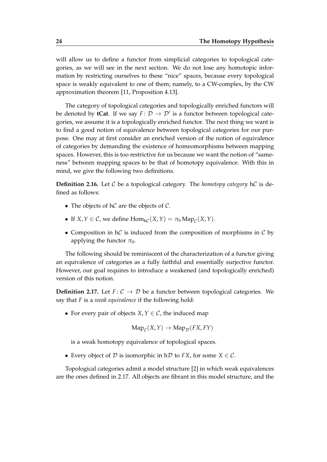will allow us to define a functor from simplicial categories to topological categories, as we will see in the next section. We do not lose any homotopic information by restricting ourselves to these "nice" spaces, because every topological space is weakly equivalent to one of them; namely, to a CW-complex, by the CW approximation theorem [11, Proposition 4.13].

The category of topological categories and topologically enriched functors will be denoted by **tCat**. If we say  $F: \mathcal{D} \to \mathcal{D}'$  is a functor between topological categories, we assume it is a topologically enriched functor. The next thing we want is to find a good notion of equivalence between topological categories for our purpose. One may at first consider an enriched version of the notion of equivalence of categories by demanding the existence of homeomorphisms between mapping spaces. However, this is too restrictive for us because we want the notion of "sameness" between mapping spaces to be that of homotopy equivalence. With this in mind, we give the following two definitions.

**Definition 2.16.** Let C be a topological category. The *homotopy category* hC is defined as follows:

- The objects of  $hC$  are the objects of  $C$ .
- If *X*, *Y*  $\in \mathcal{C}$ , we define  $Hom_{h\mathcal{C}}(X,Y) = \pi_0 Map_{\mathcal{C}}(X,Y)$ .
- Composition in  $h\mathcal{C}$  is induced from the composition of morphisms in  $\mathcal{C}$  by applying the functor  $\pi_0$ .

The following should be reminiscent of the characterization of a functor giving an equivalence of categories as a fully faithful and essentially surjective functor. However, our goal requires to introduce a weakened (and topologically enriched) version of this notion.

**Definition 2.17.** Let  $F: \mathcal{C} \to \mathcal{D}$  be a functor between topological categories. We say that *F* is a *weak equivalence* if the following hold:

• For every pair of objects *X*,  $Y \in \mathcal{C}$ , the induced map

$$
Map_{\mathcal{C}}(X,Y) \to Map_{\mathcal{D}}(FX,FY)
$$

is a weak homotopy equivalence of topological spaces.

• Every object of  $D$  is isomorphic in h $D$  to *FX*, for some  $X \in \mathcal{C}$ .

Topological categories admit a model structure [2] in which weak equivalences are the ones defined in 2.17. All objects are fibrant in this model structure, and the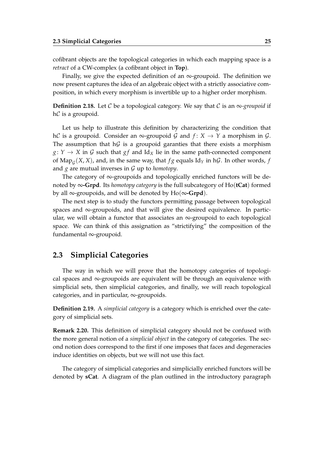cofibrant objects are the topological categories in which each mapping space is a *retract* of a CW-complex (a cofibrant object in **Top**).

Finally, we give the expected definition of an  $\infty$ -groupoid. The definition we now present captures the idea of an algebraic object with a strictly associative composition, in which every morphism is invertible up to a higher order morphism.

**Definition 2.18.** Let C be a topological category. We say that C is an  $\infty$ -groupoid if  $h\mathcal{C}$  is a groupoid.

Let us help to illustrate this definition by characterizing the condition that hC is a groupoid. Consider an  $\infty$ -groupoid G and  $f: X \to Y$  a morphism in G. The assumption that  $h\mathcal{G}$  is a groupoid garanties that there exists a morphism  $g: Y \to X$  in G such that  $gf$  and Id<sub>X</sub> lie in the same path-connected component of  $\text{Map}_{\mathcal{G}}(X,X)$ , and, in the same way, that  $fg$  equals  $\text{Id}_Y$  in  $\text{h}\mathcal{G}$ . In other words,  $f$ and  $g$  are mutual inverses in  $G$  up to *homotopy*.

The category of  $\infty$ -groupoids and topologically enriched functors will be denoted by ∞**-Grpd**. Its *homotopy category* is the full subcategory of Ho(**tCat**) formed by all ∞-groupoids, and will be denoted by Ho(∞**-Grpd**).

The next step is to study the functors permitting passage between topological spaces and  $\infty$ -groupoids, and that will give the desired equivalence. In particular, we will obtain a functor that associates an  $\infty$ -groupoid to each topological space. We can think of this assignation as "strictifying" the composition of the fundamental ∞-groupoid.

### **2.3 Simplicial Categories**

The way in which we will prove that the homotopy categories of topological spaces and ∞-groupoids are equivalent will be through an equivalence with simplicial sets, then simplicial categories, and finally, we will reach topological categories, and in particular, ∞-groupoids.

**Definition 2.19.** A *simplicial category* is a category which is enriched over the category of simplicial sets.

**Remark 2.20.** This definition of simplicial category should not be confused with the more general notion of a *simplicial object* in the category of categories. The second notion does correspond to the first if one imposes that faces and degeneracies induce identities on objects, but we will not use this fact.

The category of simplicial categories and simplicially enriched functors will be denoted by **sCat**. A diagram of the plan outlined in the introductory paragraph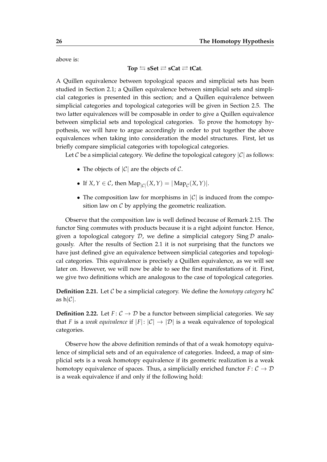above is:

 $Top \nightharpoonup$  **sSet**  $\rightleftarrows$  **sCat**  $\rightleftarrows$  **tCat**.

A Quillen equivalence between topological spaces and simplicial sets has been studied in Section 2.1; a Quillen equivalence between simplicial sets and simplicial categories is presented in this section; and a Quillen equivalence between simplicial categories and topological categories will be given in Section 2.5. The two latter equivalences will be composable in order to give a Quillen equivalence between simplicial sets and topological categories. To prove the homotopy hypothesis, we will have to argue accordingly in order to put together the above equivalences when taking into consideration the model structures. First, let us briefly compare simplicial categories with topological categories.

Let  $\mathcal C$  be a simplicial category. We define the topological category  $|\mathcal C|$  as follows:

- The objects of  $|\mathcal{C}|$  are the objects of  $\mathcal{C}$ .
- If  $X, Y \in \mathcal{C}$ , then  $\mathrm{Map}_{|\mathcal{C}|}(X, Y) = |\mathrm{Map}_{\mathcal{C}}(X, Y)|$ .
- The composition law for morphisms in  $|\mathcal{C}|$  is induced from the composition law on  $C$  by applying the geometric realization.

Observe that the composition law is well defined because of Remark 2.15. The functor Sing commutes with products because it is a right adjoint functor. Hence, given a topological category  $D$ , we define a simplicial category Sing  $D$  analogously. After the results of Section 2.1 it is not surprising that the functors we have just defined give an equivalence between simplicial categories and topological categories. This equivalence is precisely a Quillen equivalence, as we will see later on. However, we will now be able to see the first manifestations of it. First, we give two definitions which are analogous to the case of topological categories.

**Definition 2.21.** Let C be a simplicial category. We define the *homotopy category* hC as  $h|\mathcal{C}|$ .

**Definition 2.22.** Let  $F: \mathcal{C} \to \mathcal{D}$  be a functor between simplicial categories. We say that *F* is a *weak equivalence* if  $|F|: |C| \to |D|$  is a weak equivalence of topological categories.

Observe how the above definition reminds of that of a weak homotopy equivalence of simplicial sets and of an equivalence of categories. Indeed, a map of simplicial sets is a weak homotopy equivalence if its geometric realization is a weak homotopy equivalence of spaces. Thus, a simplicially enriched functor  $F: \mathcal{C} \to \mathcal{D}$ is a weak equivalence if and only if the following hold: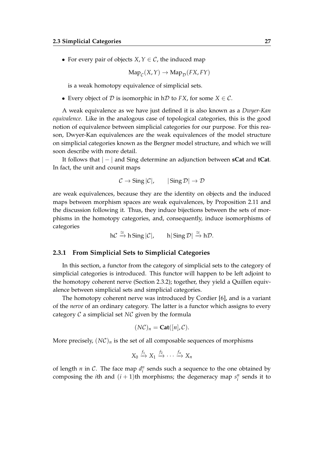• For every pair of objects *X*,  $Y \in \mathcal{C}$ , the induced map

$$
\text{Map}_{\mathcal{C}}(X, Y) \to \text{Map}_{\mathcal{D}}(FX, FY)
$$

is a weak homotopy equivalence of simplicial sets.

• Every object of  $D$  is isomorphic in h $D$  to *FX*, for some  $X \in \mathcal{C}$ .

A weak equivalence as we have just defined it is also known as a *Dwyer-Kan equivalence*. Like in the analogous case of topological categories, this is the good notion of equivalence between simplicial categories for our purpose. For this reason, Dwyer-Kan equivalences are the weak equivalences of the model structure on simplicial categories known as the Bergner model structure, and which we will soon describe with more detail.

It follows that | − | and Sing determine an adjunction between **sCat** and **tCat**. In fact, the unit and counit maps

$$
\mathcal{C} \to \text{Sing} \, |\mathcal{C}|, \qquad |\text{Sing} \, \mathcal{D}| \to \mathcal{D}
$$

are weak equivalences, because they are the identity on objects and the induced maps between morphism spaces are weak equivalences, by Proposition 2.11 and the discussion following it. Thus, they induce bijections between the sets of morphisms in the homotopy categories, and, consequently, induce isomorphisms of categories

 $h\mathcal{C} \stackrel{\cong}{\to} h\operatorname{Sing} |\mathcal{C}|$ , h $|\operatorname{Sing} \mathcal{D}| \stackrel{\cong}{\to} h\mathcal{D}$ .

#### **2.3.1 From Simplicial Sets to Simplicial Categories**

In this section, a functor from the category of simplicial sets to the category of simplicial categories is introduced. This functor will happen to be left adjoint to the homotopy coherent nerve (Section 2.3.2); together, they yield a Quillen equivalence between simplicial sets and simplicial categories.

The homotopy coherent nerve was introduced by Cordier [6], and is a variant of the *nerve* of an ordinary category. The latter is a functor which assigns to every category C a simplicial set *N*C given by the formula

$$
(N\mathcal{C})_n = \mathbf{Cat}([n], \mathcal{C}).
$$

More precisely,  $(N\mathcal{C})_n$  is the set of all composable sequences of morphisms

$$
X_0 \xrightarrow{f_1} X_1 \xrightarrow{f_2} \cdots \xrightarrow{f_n} X_n
$$

of length  $n$  in  $C$ . The face map  $d_i^n$  sends such a sequence to the one obtained by composing the *i*th and  $(i + 1)$ <sup>th</sup> morphisms; the degeneracy map  $s_i^n$  sends it to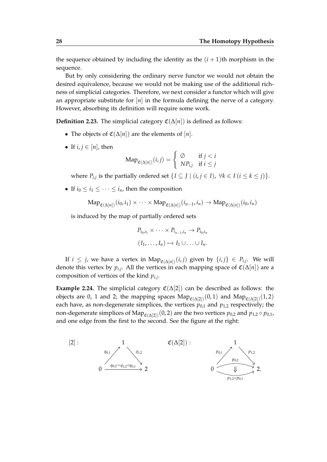the sequence obtained by including the identity as the  $(i + 1)$ th morphism in the sequence.

But by only considering the ordinary nerve functor we would not obtain the desired equivalence, because we would not be making use of the additional richness of simplicial categories. Therefore, we next consider a functor which will give an appropriate substitute for  $[n]$  in the formula defining the nerve of a category. However, absorbing its definition will require some work.

**Definition 2.23.** The simplicial category  $\mathfrak{C}(\Delta[n])$  is defined as follows:

- The objects of  $\mathfrak{C}(\Delta[n])$  are the elements of  $[n]$ .
- If  $i, j \in [n]$ , then

$$
\mathrm{Map}_{\mathfrak{C}(\Delta[n])}(i,j) = \left\{ \begin{array}{ll} \varnothing & \text{if } j < i \\ NP_{i,j} & \text{if } i \leq j \end{array} \right.
$$

where  $P_{i,j}$  is the partially ordered set  $\{I \subseteq J \mid (i,j \in I)$ ,  $\forall k \in I \ (i \le k \le j)\}.$ 

• If  $i_0 \leq i_1 \leq \cdots \leq i_n$ , then the composition

$$
\mathrm{Map}_{\mathfrak{C}(\Delta[n])}(i_0,i_1)\times\cdots\times\mathrm{Map}_{\mathfrak{C}(\Delta[n])}(i_{n-1},i_n)\to\mathrm{Map}_{\mathfrak{C}(\Delta[n])}(i_0,i_n)
$$

is induced by the map of partially ordered sets

$$
P_{i_0,i_1} \times \cdots \times P_{i_{n-1},i_n} \to P_{i_0,i_n}
$$

$$
(I_1,\ldots,I_n) \mapsto I_1 \cup \ldots \cup I_n.
$$

If  $i \leq j$ , we have a vertex in  $\text{Map}_{\mathfrak{C}(\Delta[n])}(i,j)$  given by  $\{i,j\} \in P_{i,j}$ . We will denote this vertex by  $p_{i,j}$ . All the vertices in each mapping space of  $\mathfrak{C}(\Delta[n])$  are a composition of vertices of the kind *pi*,*<sup>j</sup>* .

**Example 2.24.** The simplicial category  $\mathfrak{C}(\Delta[2])$  can be described as follows: the objects are 0, 1 and 2; the mapping spaces  $\text{Map}_{\mathfrak{C}(\Delta[2])}(0, 1)$  and  $\text{Map}_{\mathfrak{C}(\Delta[2])}(1, 2)$ each have, as non-degenerate simplices, the vertices  $p_{0,1}$  and  $p_{1,2}$  respectively; the non-degenerate simplices of Map<sub>C( $\Delta$ [2])</sub>(0, 2) are the two vertices  $p_{0,2}$  and  $p_{1,2} \circ p_{0,1}$ , and one edge from the first to the second. See the figure at the right:

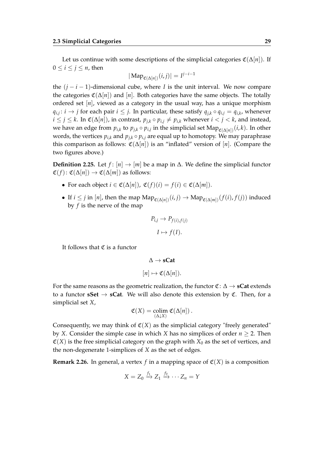Let us continue with some descriptions of the simplicial categories  $\mathfrak{C}(\Delta[n])$ . If  $0 \leq i \leq j \leq n$ , then

$$
|\operatorname{Map}_{\mathfrak{C}(\Delta[n])}(i,j)| = I^{j-i-1}
$$

the  $(j - i - 1)$ -dimensional cube, where *I* is the unit interval. We now compare the categories  $\mathfrak{C}(\Delta[n])$  and [*n*]. Both categories have the same objects. The totally ordered set [*n*], viewed as a category in the usual way, has a unique morphism  $q_{i,j}: i \to j$  for each pair  $i \leq j$ . In particular, these satisfy  $q_{j,k} \circ q_{i,j} = q_{i,k}$ , whenever *i* ≤ *j* ≤ *k*. In  $\mathfrak{C}(\Delta[n])$ , in contrast,  $p_{i,k} \circ p_{i,j} \neq p_{i,k}$  whenever *i* < *j* < *k*, and instead, we have an edge from  $p_{i,k}$  to  $p_{j,k} \circ p_{i,j}$  in the simplicial set  $\text{Map}_{\mathfrak{C}(\Delta[n])}(i,k)$ . In other words, the vertices  $p_{i,k}$  and  $p_{i,k} \circ p_{i,j}$  are equal up to homotopy. We may paraphrase this comparison as follows:  $\mathfrak{C}(\Delta[n])$  is an "inflated" version of [*n*]. (Compare the two figures above.)

**Definition 2.25.** Let *f* :  $[n]$  →  $[m]$  be a map in  $\Delta$ . We define the simplicial functor  $\mathfrak{C}(f): \mathfrak{C}(\Delta[n]) \to \mathfrak{C}(\Delta[m])$  as follows:

- For each object  $i \in \mathfrak{C}(\Delta[n])$ ,  $\mathfrak{C}(f)(i) = f(i) \in \mathfrak{C}(\Delta[m])$ .
- If  $i \leq j$  in [*n*], then the map  $\text{Map}_{\mathcal{C}(\Delta[n])}(i,j) \to \text{Map}_{\mathcal{C}(\Delta[m])}(f(i), f(j))$  induced by *f* is the nerve of the map

$$
P_{i,j} \to P_{f(i),f(j)}
$$

$$
I \mapsto f(I).
$$

It follows that  $\mathfrak C$  is a functor

$$
\Delta \to \mathbf{sCat}
$$

$$
[n] \mapsto \mathfrak{C}(\Delta[n]).
$$

For the same reasons as the geometric realization, the functor  $\mathfrak{C}: \Delta \to \mathbf{sCat}$  extends to a functor  $sSet \rightarrow sCat$ . We will also denote this extension by  $\mathfrak{C}$ . Then, for a simplicial set *X*,

$$
\mathfrak{C}(X) = \underset{(\Delta \downarrow X)}{\text{colim }} \mathfrak{C}(\Delta[n])\,.
$$

Consequently, we may think of  $\mathfrak{C}(X)$  as the simplicial category "freely generated" by *X*. Consider the simple case in which *X* has no simplices of order *n* ≥ 2. Then  $\mathfrak{C}(X)$  is the free simplicial category on the graph with  $X_0$  as the set of vertices, and the non-degenerate 1-simplices of *X* as the set of edges.

**Remark 2.26.** In general, a vertex f in a mapping space of  $\mathfrak{C}(X)$  is a composition

$$
X = Z_0 \xrightarrow{f_1} Z_1 \xrightarrow{f_2} \cdots Z_n = Y
$$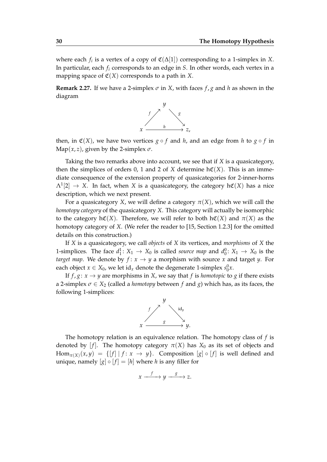where each  $f_i$  is a vertex of a copy of  $\mathfrak{C}(\Delta[1])$  corresponding to a 1-simplex in *X*. In particular, each *f<sup>i</sup>* corresponds to an edge in *S*. In other words, each vertex in a mapping space of  $\mathfrak{C}(X)$  corresponds to a path in *X*.

**Remark 2.27.** If we have a 2-simplex  $\sigma$  in *X*, with faces  $f$ ,  $g$  and  $h$  as shown in the diagram



then, in  $\mathfrak{C}(X)$ , we have two vertices  $g \circ f$  and *h*, and an edge from *h* to  $g \circ f$  in Map( $x, z$ ), given by the 2-simplex  $\sigma$ .

Taking the two remarks above into account, we see that if *X* is a quasicategory, then the simplices of orders 0, 1 and 2 of *X* determine  $h\mathfrak{C}(X)$ . This is an immediate consequence of the extension property of quasicategories for 2-inner-horns  $\Lambda^1[2]\,\to\, X.$  In fact, when  $X$  is a quasicategory, the category  $h\mathfrak{C}(X)$  has a nice description, which we next present.

For a quasicategory *X*, we will define a category  $\pi(X)$ , which we will call the *homotopy category* of the quasicategory *X*. This category will actually be isomorphic to the category  $h\mathfrak{C}(X)$ . Therefore, we will refer to both  $h\mathfrak{C}(X)$  and  $\pi(X)$  as the homotopy category of *X*. (We refer the reader to [15, Section 1.2.3] for the omitted details on this construction.)

If *X* is a quasicategory, we call *objects* of *X* its vertices, and *morphisms* of *X* the 1-simplices. The face  $d_1^1: X_1 \to X_0$  is called *source map* and  $d_0^0: X_1 \to X_0$  is the *target map*. We denote by  $f: x \rightarrow y$  a morphism with source *x* and target *y*. For each object  $x \in X_0$ , we let  $\mathrm{id}_x$  denote the degenerate 1-simplex  $s_0^0 x$ .

If  $f, g: x \rightarrow y$  are morphisms in *X*, we say that *f* is *homotopic* to *g* if there exists a 2-simplex *σ* ∈ *X*<sup>2</sup> (called a *homotopy* between *f* and *g*) which has, as its faces, the following 1-simplices:



The homotopy relation is an equivalence relation. The homotopy class of *f* is denoted by [f]. The homotopy category  $\pi(X)$  has  $X_0$  as its set of objects and  $\text{Hom}_{\pi(X)}(x,y) = \{ [f] \mid f: x \to y \}.$  Composition  $[g] \circ [f]$  is well defined and unique, namely  $[g] \circ [f] = [h]$  where *h* is any filler for

$$
x \xrightarrow{f} y \xrightarrow{g} z.
$$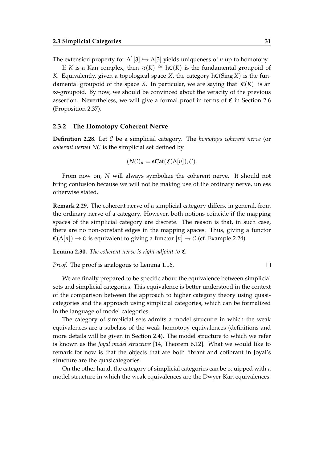The extension property for  $\Lambda^1[3]\hookrightarrow \Delta[3]$  yields uniqueness of *h* up to homotopy.

If *K* is a Kan complex, then  $\pi(K) \cong$  hC(*K*) is the fundamental groupoid of *K*. Equivalently, given a topological space *X*, the category  $h\mathfrak{C}(Sing X)$  is the fundamental groupoid of the space *X*. In particular, we are saying that  $|\mathfrak{C}(K)|$  is an ∞-groupoid. By now, we should be convinced about the veracity of the previous assertion. Nevertheless, we will give a formal proof in terms of  $\mathfrak C$  in Section 2.6 (Proposition 2.37).

#### **2.3.2 The Homotopy Coherent Nerve**

**Definition 2.28.** Let C be a simplicial category. The *homotopy coherent nerve* (or *coherent nerve*) *N*C is the simplicial set defined by

$$
(N\mathcal{C})_n = \mathbf{sCat}(\mathfrak{C}(\Delta[n]), \mathcal{C}).
$$

From now on, *N* will always symbolize the coherent nerve. It should not bring confusion because we will not be making use of the ordinary nerve, unless otherwise stated.

**Remark 2.29.** The coherent nerve of a simplicial category differs, in general, from the ordinary nerve of a category. However, both notions coincide if the mapping spaces of the simplicial category are discrete. The reason is that, in such case, there are no non-constant edges in the mapping spaces. Thus, giving a functor  $\mathfrak{C}(\Delta[n]) \to \mathcal{C}$  is equivalent to giving a functor  $[n] \to \mathcal{C}$  (cf. Example 2.24).

**Lemma 2.30.** *The coherent nerve is right adjoint to* C*.*

*Proof.* The proof is analogous to Lemma 1.16.

We are finally prepared to be specific about the equivalence between simplicial sets and simplicial categories. This equivalence is better understood in the context of the comparison between the approach to higher category theory using quasicategories and the approach using simplicial categories, which can be formalized in the language of model categories.

The category of simplicial sets admits a model strucutre in which the weak equivalences are a subclass of the weak homotopy equivalences (definitions and more details will be given in Section 2.4). The model structure to which we refer is known as the *Joyal model structure* [14, Theorem 6.12]. What we would like to remark for now is that the objects that are both fibrant and cofibrant in Joyal's structure are the quasicategories.

On the other hand, the category of simplicial categories can be equipped with a model structure in which the weak equivalences are the Dwyer-Kan equivalences.

 $\Box$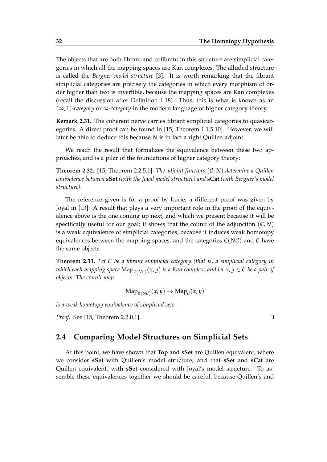The objects that are both fibrant and cofibrant in this structure are simplicial categories in which all the mapping spaces are Kan complexes. The alluded structure is called the *Bergner model structure* [3]. It is worth remarking that the fibrant simplicial categories are precisely the categories in which every morphism of order higher than two is invertible, because the mapping spaces are Kan complexes (recall the discussion after Definition 1.18). Thus, this is what is known as an (∞, 1)*-category* or ∞*-category* in the modern language of higher category theory.

**Remark 2.31.** The coherent nerve carries fibrant simplicial categories to quasicategories. A direct proof can be found in [15, Theorem 1.1.5.10]. However, we will later be able to deduce this because *N* is in fact a right Quillen adjoint.

We reach the result that formalizes the equivalence between these two approaches, and is a pilar of the foundations of higher category theory:

**Theorem 2.32.** [15, Theorem 2.2.5.1]*. The adjoint functors* (C, *N*) *determine a Quillen equivalence between* **sSet** *(with the Joyal model structure) and* **sCat** *(with Bergner's model structure).*

The reference given is for a proof by Lurie; a different proof was given by Joyal in [13]. A result that plays a very important role in the proof of the equivalence above is the one coming up next, and which we present because it will be specifically useful for our goal; it shows that the counit of the adjunction  $(\mathfrak{C}, N)$ is a weak equivalence of simplicial categories, because it induces weak homotopy equivalences between the mapping spaces, and the categories  $\mathfrak{C}(N\mathcal{C})$  and  $\mathcal C$  have the same objects.

**Theorem 2.33.** *Let* C *be a fibrant simplicial category (that is, a simplicial category in* which each mapping space  $\mathrm{Map}_{\mathfrak{C}(N\mathcal{C})}(x,y)$  is a Kan complex) and let  $x,y\in\mathcal{C}$  be a pair of *objects. The counit map*

$$
\mathrm{Map}_{\mathfrak{C}(NC)}(x,y) \to \mathrm{Map}_{\mathcal{C}}(x,y)
$$

*is a weak homotopy equivalence of simplicial sets.*

*Proof.* See [15, Theorem 2.2.0.1].

#### $\Box$

### **2.4 Comparing Model Structures on Simplicial Sets**

At this point, we have shown that **Top** and **sSet** are Quillen equivalent, where we consider **sSet** with Quillen's model structure; and that **sSet** and **sCat** are Quillen equivalent, with **sSet** considered with Joyal's model structure. To assemble these equivalences together we should be careful, because Quillen's and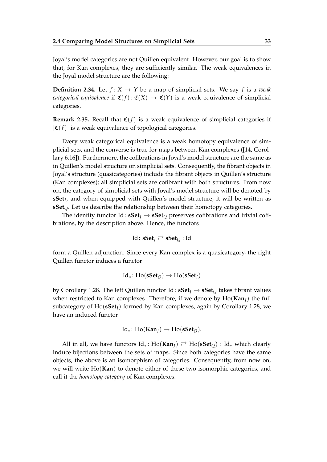Joyal's model categories are not Quillen equivalent. However, our goal is to show that, for Kan complexes, they are sufficiently similar. The weak equivalences in the Joyal model structure are the following:

**Definition 2.34.** Let  $f: X \rightarrow Y$  be a map of simplicial sets. We say f is a *weak categorical equivalence* if  $\mathfrak{C}(f)$ :  $\mathfrak{C}(X) \to \mathfrak{C}(Y)$  is a weak equivalence of simplicial categories.

**Remark 2.35.** Recall that  $\mathfrak{C}(f)$  is a weak equivalence of simplicial categories if  $|\mathfrak{C}(f)|$  is a weak equivalence of topological categories.

Every weak categorical equivalence is a weak homotopy equivalence of simplicial sets, and the converse is true for maps between Kan complexes ([14, Corollary 6.16]). Furthermore, the cofibrations in Joyal's model structure are the same as in Quillen's model structure on simplicial sets. Consequently, the fibrant objects in Joyal's structure (quasicategories) include the fibrant objects in Quillen's structure (Kan complexes); all simplicial sets are cofibrant with both structures. From now on, the category of simplicial sets with Joyal's model structure will be denoted by **sSet***<sup>J</sup>* , and when equipped with Quillen's model structure, it will be written as **sSet***Q*. Let us describe the relationship between their homotopy categories.

The identity functor Id:  $\textbf{sSet}_I \rightarrow \textbf{sSet}_O$  preserves cofibrations and trivial cofibrations, by the description above. Hence, the functors

$$
\mathrm{Id}\colon \mathbf{sSet}_J \rightleftarrows \mathbf{sSet}_Q:\mathrm{Id}
$$

form a Quillen adjunction. Since every Kan complex is a quasicategory, the right Quillen functor induces a functor

$$
Id_*\colon \text{Ho}(\textbf{sSet}_{Q}) \to \text{Ho}(\textbf{sSet}_{J})
$$

by Corollary 1.28. The left Quillen functor Id:  $\textbf{sSet}_I \rightarrow \textbf{sSet}_O$  takes fibrant values when restricted to Kan complexes. Therefore, if we denote by  $Ho(Kan<sub>I</sub>)$  the full subcategory of Ho(**sSet***J*) formed by Kan complexes, again by Corollary 1.28, we have an induced functor

$$
\mathrm{Id}_*\colon \mathrm{Ho}(\mathbf{Kan}_J)\to \mathrm{Ho}(\mathbf{sSet}_Q).
$$

All in all, we have functors  $Id_*$ :  $Ho(Kan<sub>J</sub>)$   $\rightleftarrows$   $Ho(sSet<sub>O</sub>)$  :  $Id_*$  which clearly induce bijections between the sets of maps. Since both categories have the same objects, the above is an isomorphism of categories. Consequently, from now on, we will write Ho(**Kan**) to denote either of these two isomorphic categories, and call it the *homotopy category* of Kan complexes.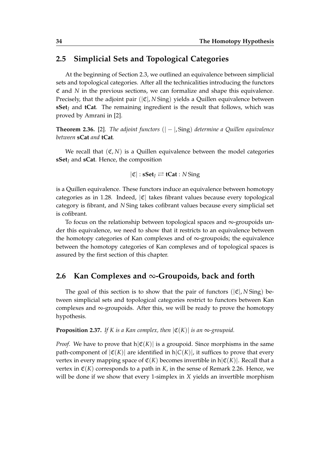### **2.5 Simplicial Sets and Topological Categories**

At the beginning of Section 2.3, we outlined an equivalence between simplicial sets and topological categories. After all the technicalities introducing the functors C and *N* in the previous sections, we can formalize and shape this equivalence. Precisely, that the adjoint pair  $(|\mathfrak{C}|, N \text{Sing})$  yields a Quillen equivalence between **sSet***<sup>J</sup>* and **tCat**. The remaining ingredient is the result that follows, which was proved by Amrani in [2].

**Theorem 2.36.** [2]*. The adjoint functors* (| − |, Sing) *determine a Quillen equivalence between* **sCat** *and* **tCat***.*

We recall that  $(\mathfrak{C}, N)$  is a Quillen equivalence between the model categories **sSet***<sup>J</sup>* and **sCat**. Hence, the composition

$$
|\mathfrak{C}|: \textbf{sSet}_J \rightleftarrows \textbf{tCat}: N\, \text{Sing}
$$

is a Quillen equivalence. These functors induce an equivalence between homotopy categories as in 1.28. Indeed,  $|\mathfrak{C}|$  takes fibrant values because every topological category is fibrant, and *N* Sing takes cofibrant values because every simplicial set is cofibrant.

To focus on the relationship between topological spaces and ∞-groupoids under this equivalence, we need to show that it restricts to an equivalence between the homotopy categories of Kan complexes and of ∞-groupoids; the equivalence between the homotopy categories of Kan complexes and of topological spaces is assured by the first section of this chapter.

#### **2.6 Kan Complexes and** ∞**-Groupoids, back and forth**

The goal of this section is to show that the pair of functors  $(|\mathfrak{C}|, N \text{Sing})$  between simplicial sets and topological categories restrict to functors between Kan complexes and ∞-groupoids. After this, we will be ready to prove the homotopy hypothesis.

#### **Proposition 2.37.** If K is a Kan complex, then  $|C(K)|$  is an  $\infty$ -groupoid.

*Proof.* We have to prove that  $h | \mathfrak{C}(K) |$  is a groupoid. Since morphisms in the same path-component of  $|C(K)|$  are identified in  $h|C(K)|$ , it suffices to prove that every vertex in every mapping space of  $\mathfrak{C}(K)$  becomes invertible in  $h|\mathfrak{C}(K)|$ . Recall that a vertex in  $\mathfrak{C}(K)$  corresponds to a path in  $K$ , in the sense of Remark 2.26. Hence, we will be done if we show that every 1-simplex in *X* yields an invertible morphism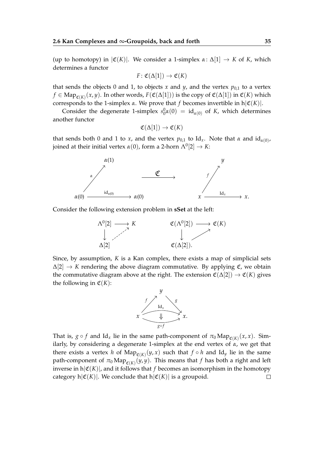(up to homotopy) in  $|C(K)|$ . We consider a 1-simplex  $\alpha: \Delta[1] \to K$  of K, which determines a functor

$$
F\colon \mathfrak{C}(\Delta[1]) \to \mathfrak{C}(K)
$$

that sends the objects 0 and 1, to objects *x* and *y*, and the vertex  $p_{0,1}$  to a vertex  $f \in \mathrm{Map}_{\mathfrak{C}(K)}(x,y).$  In other words,  $F(\mathfrak{C}(\Delta[1]))$  is the copy of  $\mathfrak{C}(\Delta[1])$  in  $\mathfrak{C}(K)$  which corresponds to the 1-simplex *α*. We prove that *f* becomes invertible in  $h | E(K) |$ .

Consider the degenerate 1-simplex  $s_0^0 \alpha(0) = \mathrm{id}_{\alpha(0)}$  of *K*, which determines another functor

$$
\mathfrak{C}(\Delta[1]) \to \mathfrak{C}(K)
$$

that sends both 0 and 1 to *x*, and the vertex  $p_{0,1}$  to Id<sub>*x*</sub>. Note that *α* and  $id_{\alpha(0)}$ , joined at their initial vertex  $\alpha(0)$ , form a 2-horn  $\Lambda^0[2]\to K$ :



Consider the following extension problem in **sSet** at the left:



Since, by assumption, *K* is a Kan complex, there exists a map of simplicial sets  $\Delta[2] \rightarrow K$  rendering the above diagram commutative. By applying  $\mathfrak{C}$ , we obtain the commutative diagram above at the right. The extension  $\mathfrak{C}(\Delta[2]) \to \mathfrak{C}(K)$  gives the following in  $\mathfrak{C}(K)$ :



That is,  $g \circ f$  and Id<sub>*x*</sub> lie in the same path-component of  $\pi_0 \text{Map}_{\mathfrak{C}(K)}(x, x)$ . Similarly, by considering a degenerate 1-simplex at the end vertex of *α*, we get that there exists a vertex *h* of  $\text{Map}_{\mathfrak{C}(K)}(y, x)$  such that  $f \circ h$  and Id<sub>y</sub> lie in the same  $\mathsf{path\text{-}component\ of\ } \pi_0\mathsf{Map}_{\mathfrak{C}(K)}(y,y).$  This means that  $f$  has both a right and left inverse in  $h | \mathfrak{C}(K) |$ , and it follows that *f* becomes an isomorphism in the homotopy category  $h|\mathfrak{C}(K)|$ . We conclude that  $h|\mathfrak{C}(K)|$  is a groupoid.  $\Box$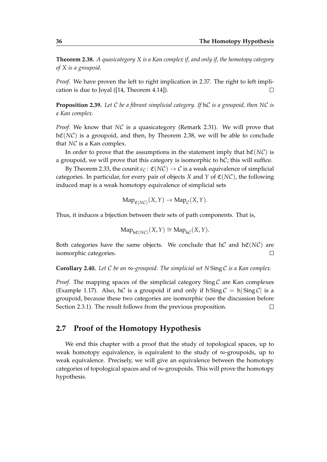**Theorem 2.38.** *A quasicategory X is a Kan complex if, and only if, the homotopy category of X is a groupoid.*

*Proof.* We have proven the left to right implication in 2.37. The right to left implication is due to Joyal ([14, Theorem 4.14]).  $\Box$ 

**Proposition 2.39.** *Let* C *be a fibrant simplicial category. If* hC *is a groupoid, then N*C *is a Kan complex.*

*Proof.* We know that *N*C is a quasicategory (Remark 2.31). We will prove that  $h\mathfrak{C}(NC)$  is a groupoid, and then, by Theorem 2.38, we will be able to conclude that *N*C is a Kan complex.

In order to prove that the assumptions in the statement imply that  $h\mathfrak{C}(NC)$  is a groupoid, we will prove that this category is isomorphic to  $hC$ ; this will suffice.

By Theorem 2.33, the counit  $\epsilon_{\mathcal{C}}: \mathfrak{C}(N\mathcal{C}) \to \mathcal{C}$  is a weak equivalence of simplicial categories. In particular, for every pair of objects *X* and *Y* of  $\mathfrak{C}(NC)$ , the following induced map is a weak homotopy equivalence of simplicial sets

$$
Map_{\mathfrak{C}(N\mathcal{C})}(X,Y) \to Map_{\mathcal{C}}(X,Y).
$$

Thus, it induces a bijection between their sets of path components. That is,

$$
\mathrm{Map}_{h\mathfrak{C}(N\mathcal{C})}(X,Y) \cong \mathrm{Map}_{h\mathcal{C}}(X,Y).
$$

Both categories have the same objects. We conclude that  $hC$  and  $hC(NC)$  are isomorphic categories.  $\Box$ 

**Corollary 2.40.** *Let* C *be an* ∞*-groupoid. The simplicial set N* Sing C *is a Kan complex.*

*Proof.* The mapping spaces of the simplicial category  $\text{Sing } C$  are Kan complexes (Example 1.17). Also, hC is a groupoid if and only if  $h\operatorname{Sing}\mathcal{C} = h|\operatorname{Sing}\mathcal{C}|$  is a groupoid, because these two categories are isomorphic (see the discussion before Section 2.3.1). The result follows from the previous proposition.  $\Box$ 

### **2.7 Proof of the Homotopy Hypothesis**

We end this chapter with a proof that the study of topological spaces, up to weak homotopy equivalence, is equivalent to the study of  $\infty$ -groupoids, up to weak equivalence. Precisely, we will give an equivalence between the homotopy categories of topological spaces and of ∞-groupoids. This will prove the homotopy hypothesis.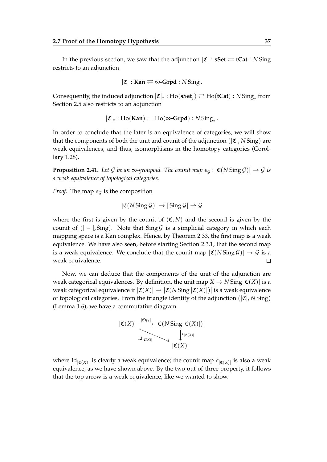In the previous section, we saw that the adjunction  $|\mathfrak{C}|$  : **sSet**  $\rightleftarrows$  **tCat** : *N* Sing restricts to an adjunction

$$
|\mathfrak{C}| : \textbf{Kan} \rightleftarrows \infty\textbf{-Grpd} : N\, \textbf{Sing} \, .
$$

 $\text{Consequently, the induced adjunction } |\mathfrak{C}|_* : \text{Ho}(\textbf{sSet}_J) \rightleftarrows \text{Ho}(\textbf{tCat}) : N \text{Sing}_* \text{ from } \mathfrak{C}$ Section 2.5 also restricts to an adjunction

$$
|\mathfrak{C}|_*:\text{\rm Ho}({\bf Kan})\rightleftarrows \text{\rm Ho}(\text{\rm \small \infty}\text{-}{\bf Grpd}):N\,\text{\rm Sing}_*\,.
$$

In order to conclude that the later is an equivalence of categories, we will show that the components of both the unit and counit of the adjunction  $(|\mathfrak{C}|, N \text{Sing})$  are weak equivalences, and thus, isomorphisms in the homotopy categories (Corollary 1.28).

**Proposition 2.41.** Let G be an  $\infty$ -groupoid. The counit map  $\epsilon_G$ :  $|\mathfrak{C}(N\text{Sing}\mathcal{G})| \to G$  is *a weak equivalence of topological categories.*

*Proof.* The map  $\epsilon_G$  is the composition

$$
|\mathfrak{C}(N\operatorname{Sing} \mathcal{G})| \to |\operatorname{Sing} \mathcal{G}| \to \mathcal{G}
$$

where the first is given by the counit of  $({\mathfrak C}, N)$  and the second is given by the counit of  $(| - |$ , Sing). Note that Sing G is a simplicial category in which each mapping space is a Kan complex. Hence, by Theorem 2.33, the first map is a weak equivalence. We have also seen, before starting Section 2.3.1, that the second map is a weak equivalence. We conclude that the counit map  $|C(N\text{Sing }\mathcal{G})| \to G$  is a weak equivalence.  $\Box$ 

Now, we can deduce that the components of the unit of the adjunction are weak categorical equivalences. By definition, the unit map  $X \to N \operatorname{Sing} |C(X)|$  is a weak categorical equivalence if  $|C(X)| \to |C(N) \text{Sing } |C(X)|$  is a weak equivalence of topological categories. From the triangle identity of the adjunction (|C|, *N* Sing) (Lemma 1.6), we have a commutative diagram



where Id $_{\vert \mathfrak{C}(X) \vert}$  is clearly a weak equivalence; the counit map  $\epsilon_{\vert \mathfrak{C}(X) \vert}$  is also a weak equivalence, as we have shown above. By the two-out-of-three property, it follows that the top arrow is a weak equivalence, like we wanted to show.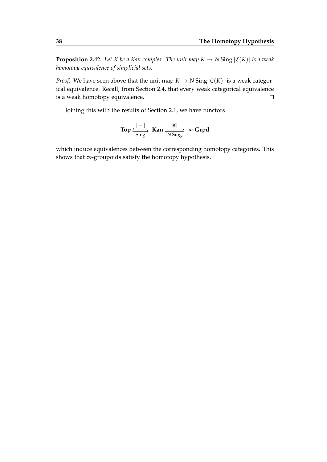**Proposition 2.42.** Let K be a Kan complex. The unit map  $K \to N \operatorname{Sing} |\mathfrak{C}(K)|$  is a weak *homotopy equivalence of simplicial sets.*

*Proof.* We have seen above that the unit map  $K \to N \operatorname{Sing} |\mathfrak{C}(K)|$  is a weak categorical equivalence. Recall, from Section 2.4, that every weak categorical equivalence is a weak homotopy equivalence.  $\Box$ 

Joining this with the results of Section 2.1, we have functors

$$
\text{Top} \xrightarrow[\text{Sing}]{|-|} \text{Kan} \xleftarrow[\text{R}]{|\mathfrak{C}|} \infty\text{-}\text{Grpd}
$$

which induce equivalences between the corresponding homotopy categories. This shows that ∞-groupoids satisfy the homotopy hypothesis.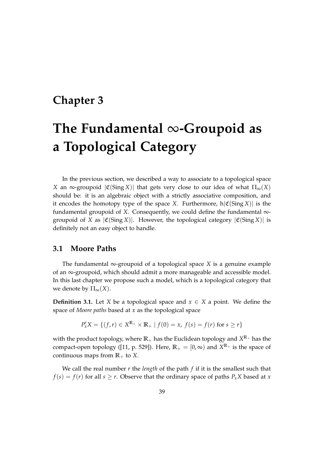### **Chapter 3**

# **The Fundamental** ∞**-Groupoid as a Topological Category**

In the previous section, we described a way to associate to a topological space *X* an  $\infty$ -groupoid  $|C(Sing X)|$  that gets very close to our idea of what  $\Pi_{\infty}(X)$ should be: it is an algebraic object with a strictly associative composition, and it encodes the homotopy type of the space *X*. Furthermore,  $h|\mathfrak{C}(\text{Sing }X)|$  is the fundamental groupoid of *X*. Consequently, we could define the fundamental ∞ groupoid of *X* as  $|\mathfrak{C}(\text{Sing }X)|$ . However, the topological category  $|\mathfrak{C}(\text{Sing }X)|$  is definitely not an easy object to handle.

### **3.1 Moore Paths**

The fundamental ∞-groupoid of a topological space *X* is a genuine example of an ∞-groupoid, which should admit a more manageable and accessible model. In this last chapter we propose such a model, which is a topological category that we denote by  $\Pi_{\infty}(X)$ .

**Definition 3.1.** Let *X* be a topological space and  $x \in X$  a point. We define the space of *Moore paths* based at *x* as the topological space

$$
P'_xX = \{(f,r) \in X^{\mathbb{R}_+} \times \mathbb{R}_+ \mid f(0) = x, \ f(s) = f(r) \text{ for } s \ge r\}
$$

with the product topology, where  $\mathbb{R}_+$  has the Euclidean topology and  $X^{\mathbb{R}_+}$  has the compact-open topology ([11, p. 529]). Here,  $\mathbb{R}_+ = [0, \infty)$  and  $X^{\mathbb{R}_+}$  is the space of continuous maps from  $\mathbb{R}_+$  to *X*.

We call the real number *r* the *length* of the path *f* if it is the smallest such that  $f(s) = f(r)$  for all  $s \geq r$ . Observe that the ordinary space of paths  $P_xX$  based at *x*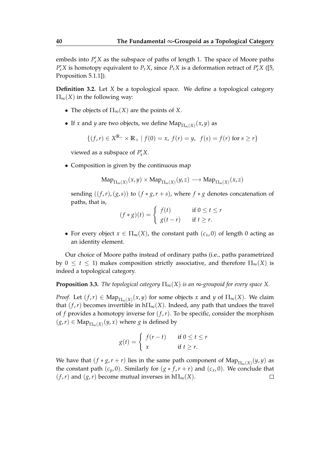embeds into  $P'_xX$  as the subspace of paths of length 1. The space of Moore paths  $P'_x X$  is homotopy equivalent to  $P_x X$ , since  $P_x X$  is a deformation retract of  $P'_x X$  ([5, Proposition 5.1.1]).

**Definition 3.2.** Let *X* be a topological space. We define a topological category  $\Pi_{\infty}(X)$  in the following way:

- The objects of  $\Pi_{\infty}(X)$  are the points of *X*.
- If *x* and *y* are two objects, we define  $\text{Map}_{\Pi_{\infty}(X)}(x,y)$  as

$$
\{(f,r) \in X^{\mathbb{R}_+} \times \mathbb{R}_+ \mid f(0) = x, \ f(r) = y, \ f(s) = f(r) \text{ for } s \ge r\}
$$

viewed as a subspace of  $P'_xX$ .

• Composition is given by the continuous map

$$
Map_{\Pi_{\infty}(X)}(x,y) \times Map_{\Pi_{\infty}(X)}(y,z) \longrightarrow Map_{\Pi_{\infty}(X)}(x,z)
$$

sending  $((f,r),(g,s))$  to  $(f * g, r + s)$ , where  $f * g$  denotes concatenation of paths, that is,

$$
(f * g)(t) = \begin{cases} f(t) & \text{if } 0 \le t \le r \\ g(t - r) & \text{if } t \ge r. \end{cases}
$$

• For every object  $x \in \Pi_{\infty}(X)$ , the constant path  $(c_x, 0)$  of length 0 acting as an identity element.

Our choice of Moore paths instead of ordinary paths (i.e., paths parametrized by  $0 \le t \le 1$ ) makes composition strictly associative, and therefore  $\Pi_{\infty}(X)$  is indeed a topological category.

**Proposition 3.3.** *The topological category*  $\Pi_{\infty}(X)$  *is an*  $\infty$ *-groupoid for every space* X.

*Proof.* Let  $(f, r) \in \text{Map}_{\Pi_{\infty}(X)}(x, y)$  for some objects *x* and *y* of  $\Pi_{\infty}(X)$ . We claim that  $(f, r)$  becomes invertible in h $\Pi_{\infty}(X)$ . Indeed, any path that undoes the travel of  $f$  provides a homotopy inverse for  $(f, r)$ . To be specific, consider the morphism  $(g,r) \in \text{Map}_{\Pi_{\infty}(X)}(y,x)$  where *g* is defined by

$$
g(t) = \begin{cases} f(r-t) & \text{if } 0 \le t \le r \\ x & \text{if } t \ge r. \end{cases}
$$

We have that  $(f * g, r + r)$  lies in the same path component of  $\text{Map}_{\Pi_{\infty}(X)}(y, y)$  as the constant path  $(c_y, 0)$ . Similarly for  $(g * f, r + r)$  and  $(c_x, 0)$ . We conclude that  $(f, r)$  and  $(g, r)$  become mutual inverses in h $\Pi_{\infty}(X)$ .  $\Box$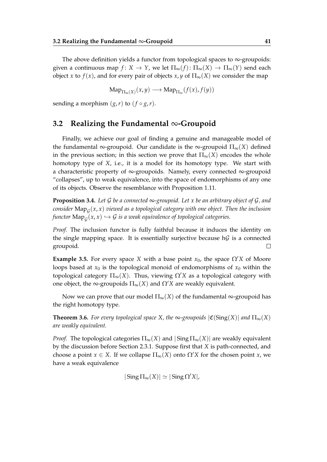The above definition yields a functor from topological spaces to  $\infty$ -groupoids: given a continuous map  $f: X \to Y$ , we let  $\Pi_{\infty}(f): \Pi_{\infty}(X) \to \Pi_{\infty}(Y)$  send each object *x* to  $f(x)$ , and for every pair of objects *x*, *y* of  $\Pi_{\infty}(X)$  we consider the map

$$
Map_{\Pi_{\infty}(X)}(x,y) \longrightarrow Map_{\Pi_{\infty}}(f(x), f(y))
$$

sending a morphism  $(g, r)$  to  $(f \circ g, r)$ .

#### **3.2 Realizing the Fundamental** ∞**-Groupoid**

Finally, we achieve our goal of finding a genuine and manageable model of the fundamental ∞-groupoid. Our candidate is the ∞-groupoid  $\Pi_{\infty}(X)$  defined in the previous section; in this section we prove that  $\Pi_{\infty}(X)$  encodes the whole homotopy type of *X*, i.e., it is a model for its homotopy type. We start with a characteristic property of ∞-groupoids. Namely, every connected ∞-groupoid "collapses", up to weak equivalence, into the space of endomorphisms of any one of its objects. Observe the resemblance with Proposition 1.11.

**Proposition 3.4.** Let G be a connected  $\infty$ -groupoid. Let x be an arbitrary object of G, and consider  $\mathrm{Map}_{\mathcal{G}}(x,x)$  viewed as a topological category with one object. Then the inclusion functor  $\mathrm{Map}_{\mathcal{G}}(x,x) \hookrightarrow \mathcal{G}$  is a weak equivalence of topological categories.

*Proof.* The inclusion functor is fully faithful because it induces the identity on the single mapping space. It is essentially surjective because  $h\mathcal{G}$  is a connected groupoid.  $\Box$ 

**Example 3.5.** For every space *X* with a base point  $x_0$ , the space  $\Omega'X$  of Moore loops based at  $x_0$  is the topological monoid of endomorphisms of  $x_0$  within the topological category  $\Pi_{\infty}(X)$ . Thus, viewing  $\Omega'X$  as a topological category with one object, the ∞-groupoids  $\Pi_{\infty}(X)$  and  $\Omega'X$  are weakly equivalent.

Now we can prove that our model  $\Pi_{\infty}(X)$  of the fundamental  $\infty$ -groupoid has the right homotopy type.

**Theorem 3.6.** For every topological space X, the  $\infty$ -groupoids  $|C(Sing(X)|$  and  $\Pi_{\infty}(X)$ *are weakly equivalent.*

*Proof.* The topological categories  $\Pi_{\infty}(X)$  and  $|\operatorname{Sing} \Pi_{\infty}(X)|$  are weakly equivalent by the discussion before Section 2.3.1. Suppose first that *X* is path-connected, and choose a point  $x \in X$ . If we collapse  $\Pi_{\infty}(X)$  onto  $\Omega'X$  for the chosen point *x*, we have a weak equivalence

 $|\operatorname{Sing} \Pi_{\infty}(X)| \simeq |\operatorname{Sing} \Omega' X|$ ,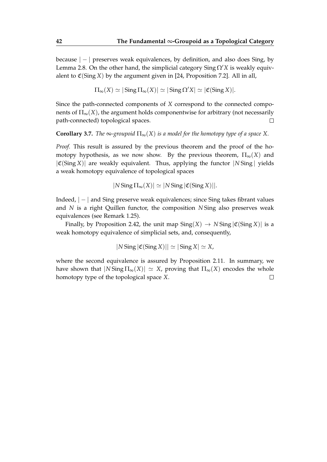because | − | preserves weak equivalences, by definition, and also does Sing, by Lemma 2.8. On the other hand, the simplicial category  $\text{Sing } \Omega' X$  is weakly equivalent to  $\mathfrak{C}(Sing X)$  by the argument given in [24, Proposition 7.2]. All in all,

$$
\Pi_{\infty}(X) \simeq |\operatorname{Sing} \Pi_{\infty}(X)| \simeq |\operatorname{Sing} \Omega' X| \simeq |\mathfrak{C}(\operatorname{Sing} X)|.
$$

Since the path-connected components of *X* correspond to the connected components of  $\Pi_{\infty}(X)$ , the argument holds componentwise for arbitrary (not necessarily path-connected) topological spaces.  $\Box$ 

**Corollary 3.7.** *The* ∞-groupoid  $\Pi_{\infty}(X)$  *is a model for the homotopy type of a space* X.

*Proof.* This result is assured by the previous theorem and the proof of the homotopy hypothesis, as we now show. By the previous theorem,  $\Pi_{\infty}(X)$  and  $|C(Sing X)|$  are weakly equivalent. Thus, applying the functor  $|N Sing|$  yields a weak homotopy equivalence of topological spaces

$$
|N\operatorname{Sing} \Pi_{\infty}(X)| \simeq |N\operatorname{Sing} |\mathfrak{C}(\operatorname{Sing} X)||.
$$

Indeed, | − | and Sing preserve weak equivalences; since Sing takes fibrant values and *N* is a right Quillen functor, the composition *N* Sing also preserves weak equivalences (see Remark 1.25).

Finally, by Proposition 2.42, the unit map  $Sing(X) \to N Sing |C(Sing X)|$  is a weak homotopy equivalence of simplicial sets, and, consequently,

$$
|N\operatorname{Sing}|\mathfrak{C}(\operatorname{Sing} X)|| \simeq |\operatorname{Sing} X| \simeq X,
$$

where the second equivalence is assured by Proposition 2.11. In summary, we have shown that  $|N \text{Sing }\Pi_{\infty}(X)| \simeq X$ , proving that  $\Pi_{\infty}(X)$  encodes the whole homotopy type of the topological space *X*. $\Box$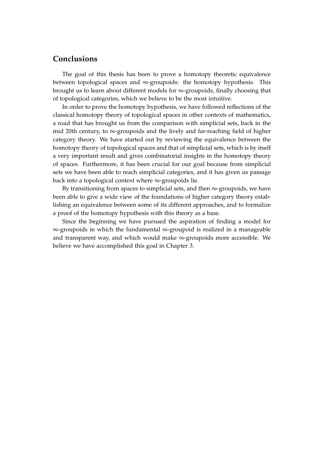### **Conclusions**

The goal of this thesis has been to prove a homotopy theoretic equivalence between topological spaces and  $\infty$ -groupoids: the homotopy hypothesis. This brought us to learn about different models for  $\infty$ -groupoids, finally choosing that of topological categories, which we believe to be the most intuitive.

In order to prove the homotopy hypothesis, we have followed reflections of the classical homotopy theory of topological spaces in other contexts of mathematics, a road that has brought us from the comparison with simplicial sets, back in the mid 20th century, to  $\infty$ -groupoids and the lively and far-reaching field of higher category theory. We have started out by reviewing the equivalence between the homotopy theory of topological spaces and that of simplicial sets, which is by itself a very important result and gives combinatorial insights in the homotopy theory of spaces. Furthermore, it has been crucial for our goal because from simplicial sets we have been able to reach simplicial categories, and it has given us passage back into a topological context where ∞-groupoids lie.

By transitioning from spaces to simplicial sets, and then  $\infty$ -groupoids, we have been able to give a wide view of the foundations of higher category theory establishing an equivalence between some of its different approaches, and to formalize a proof of the homotopy hypothesis with this theory as a base.

Since the beginning we have pursued the aspiration of finding a model for ∞-groupoids in which the fundamental ∞-groupoid is realized in a manageable and transparent way, and which would make ∞-groupoids more accessible. We believe we have accomplished this goal in Chapter 3.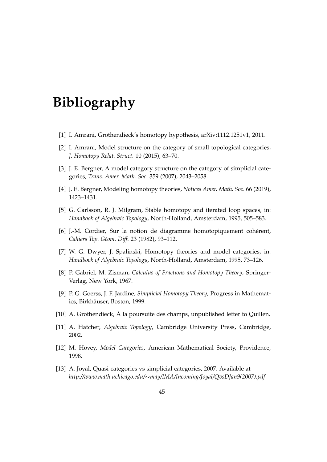# **Bibliography**

- [1] I. Amrani, Grothendieck's homotopy hypothesis, arXiv:1112.1251v1, 2011.
- [2] I. Amrani, Model structure on the category of small topological categories, *J. Homotopy Relat. Struct.* 10 (2015), 63–70.
- [3] J. E. Bergner, A model category structure on the category of simplicial categories, *Trans. Amer. Math. Soc.* 359 (2007), 2043–2058.
- [4] J. E. Bergner, Modeling homotopy theories, *Notices Amer. Math. Soc.* 66 (2019), 1423–1431.
- [5] G. Carlsson, R. J. Milgram, Stable homotopy and iterated loop spaces, in: *Handbook of Algebraic Topology*, North-Holland, Amsterdam, 1995, 505–583.
- [6] J.-M. Cordier, Sur la notion de diagramme homotopiquement cohérent, *Cahiers Top. Géom. Diff.* 23 (1982), 93–112.
- [7] W. G. Dwyer, J. Spalinski, Homotopy theories and model categories, in: *Handbook of Algebraic Topology*, North-Holland, Amsterdam, 1995, 73–126.
- [8] P. Gabriel, M. Zisman, *Calculus of Fractions and Homotopy Theory*, Springer-Verlag, New York, 1967.
- [9] P. G. Goerss, J. F. Jardine, *Simplicial Homotopy Theory*, Progress in Mathematics, Birkhäuser, Boston, 1999.
- [10] A. Grothendieck, À la poursuite des champs, unpublished letter to Quillen.
- [11] A. Hatcher, *Algebraic Topology*, Cambridge University Press, Cambridge, 2002.
- [12] M. Hovey, *Model Categories*, American Mathematical Society, Providence, 1998.
- [13] A. Joyal, Quasi-categories vs simplicial categories, 2007. Available at *http://www.math.uchicago.edu/*∼*may/IMA/Incoming/Joyal/QvsDJan9(2007).pdf*